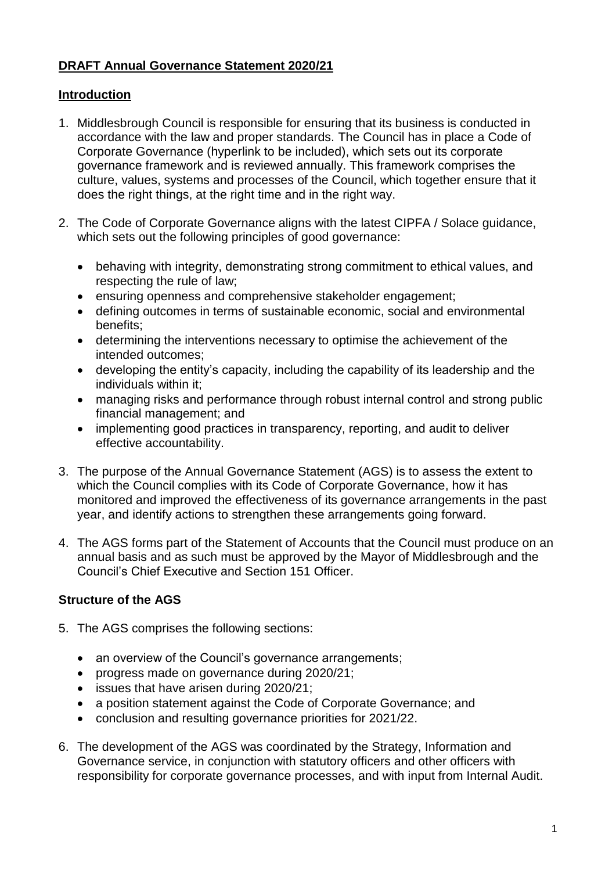## **DRAFT Annual Governance Statement 2020/21**

## **Introduction**

- 1. Middlesbrough Council is responsible for ensuring that its business is conducted in accordance with the law and proper standards. The Council has in place a Code of Corporate Governance (hyperlink to be included), which sets out its corporate governance framework and is reviewed annually. This framework comprises the culture, values, systems and processes of the Council, which together ensure that it does the right things, at the right time and in the right way.
- 2. The Code of Corporate Governance aligns with the latest CIPFA / Solace guidance, which sets out the following principles of good governance:
	- behaving with integrity, demonstrating strong commitment to ethical values, and respecting the rule of law;
	- ensuring openness and comprehensive stakeholder engagement;
	- defining outcomes in terms of sustainable economic, social and environmental benefits;
	- determining the interventions necessary to optimise the achievement of the intended outcomes;
	- developing the entity's capacity, including the capability of its leadership and the individuals within it;
	- managing risks and performance through robust internal control and strong public financial management; and
	- implementing good practices in transparency, reporting, and audit to deliver effective accountability.
- 3. The purpose of the Annual Governance Statement (AGS) is to assess the extent to which the Council complies with its Code of Corporate Governance, how it has monitored and improved the effectiveness of its governance arrangements in the past year, and identify actions to strengthen these arrangements going forward.
- 4. The AGS forms part of the Statement of Accounts that the Council must produce on an annual basis and as such must be approved by the Mayor of Middlesbrough and the Council's Chief Executive and Section 151 Officer.

## **Structure of the AGS**

- 5. The AGS comprises the following sections:
	- an overview of the Council's governance arrangements;
	- progress made on governance during 2020/21;
	- issues that have arisen during 2020/21;
	- a position statement against the Code of Corporate Governance; and
	- conclusion and resulting governance priorities for 2021/22.
- 6. The development of the AGS was coordinated by the Strategy, Information and Governance service, in conjunction with statutory officers and other officers with responsibility for corporate governance processes, and with input from Internal Audit.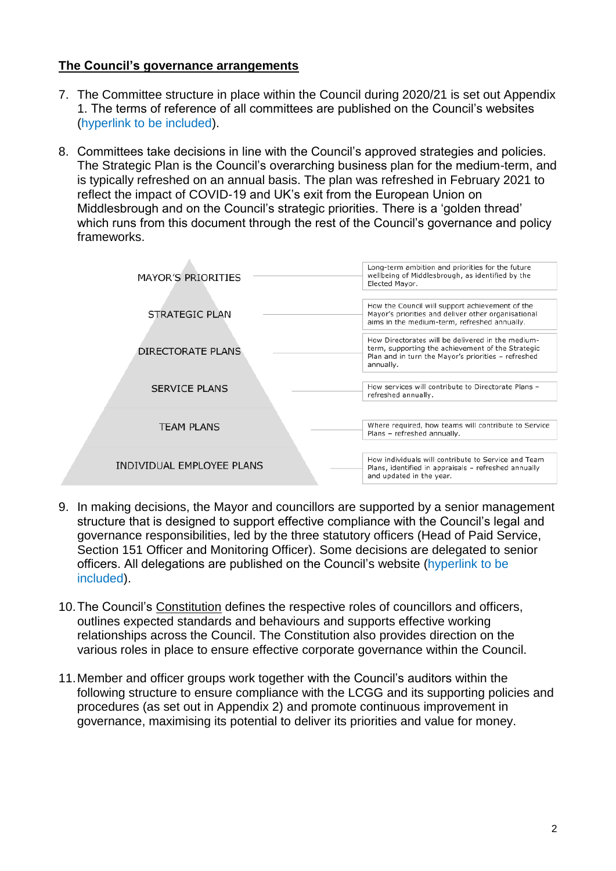#### **The Council's governance arrangements**

- 7. The Committee structure in place within the Council during 2020/21 is set out Appendix 1. The terms of reference of all committees are published on the Council's websites (hyperlink to be included).
- 8. Committees take decisions in line with the Council's approved strategies and policies. The [Strategic Plan](https://moderngov.middlesbrough.gov.uk/documents/s3239/Appendix%201.pdf) is the Council's overarching business plan for the medium-term, and is typically refreshed on an annual basis. The plan was refreshed in February 2021 to reflect the impact of COVID-19 and UK's exit from the European Union on Middlesbrough and on the Council's strategic priorities. There is a 'golden thread' which runs from this document through the rest of the Council's governance and policy frameworks.

| <b>MAYOR'S PRIORITIES</b> | Long-term ambition and priorities for the future<br>wellbeing of Middlesbrough, as identified by the<br>Elected Mayor.                                                     |
|---------------------------|----------------------------------------------------------------------------------------------------------------------------------------------------------------------------|
| STRATEGIC PLAN            | How the Council will support achievement of the<br>Mayor's priorities and deliver other organisational<br>aims in the medium-term, refreshed annually.                     |
| DIRECTORATE PLANS         | How Directorates will be delivered in the medium-<br>term, supporting the achievement of the Strategic<br>Plan and in turn the Mayor's priorities - refreshed<br>annually. |
| <b>SERVICE PLANS</b>      | How services will contribute to Directorate Plans -<br>refreshed annually.                                                                                                 |
| <b>TEAM PLANS</b>         | Where required, how teams will contribute to Service<br>Plans - refreshed annually.                                                                                        |
| INDIVIDUAL EMPLOYEE PLANS | How individuals will contribute to Service and Team<br>Plans, identified in appraisals - refreshed annually<br>and updated in the year.                                    |
|                           |                                                                                                                                                                            |

- 9. In making decisions, the Mayor and councillors are supported by a senior management structure that is designed to support effective compliance with the Council's legal and governance responsibilities, led by the three statutory officers (Head of Paid Service, Section 151 Officer and Monitoring Officer). Some decisions are delegated to senior officers. All delegations are published on the Council's website (hyperlink to be included).
- 10.The Council's [Constitution](https://www.middlesbrough.gov.uk/open-data-foi-and-have-your-say/open-data-and-policies/middlesbrough-council-constitution) defines the respective roles of councillors and officers, outlines expected standards and behaviours and supports effective working relationships across the Council. The Constitution also provides direction on the various roles in place to ensure effective corporate governance within the Council.
- 11.Member and officer groups work together with the Council's auditors within the following structure to ensure compliance with the LCGG and its supporting policies and procedures (as set out in Appendix 2) and promote continuous improvement in governance, maximising its potential to deliver its priorities and value for money.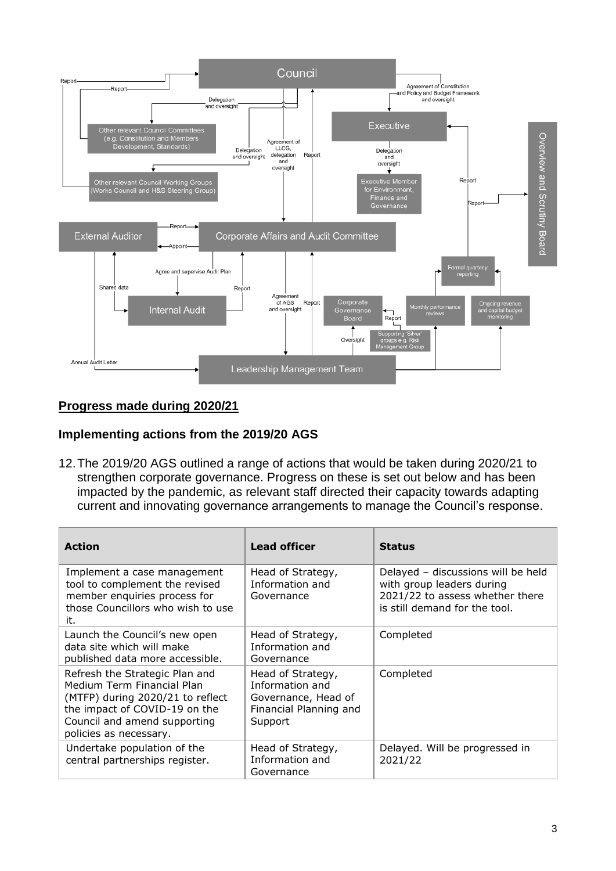

## **Progress made during 2020/21**

#### **Implementing actions from the 2019/20 AGS**

12.The 2019/20 AGS outlined a range of actions that would be taken during 2020/21 to strengthen corporate governance. Progress on these is set out below and has been impacted by the pandemic, as relevant staff directed their capacity towards adapting current and innovating governance arrangements to manage the Council's response.

| <b>Action</b>                                                                                                                                                                               | <b>Lead officer</b>                                                                              | <b>Status</b>                                                                                                                       |
|---------------------------------------------------------------------------------------------------------------------------------------------------------------------------------------------|--------------------------------------------------------------------------------------------------|-------------------------------------------------------------------------------------------------------------------------------------|
| Implement a case management<br>tool to complement the revised<br>member enquiries process for<br>those Councillors who wish to use<br>it.                                                   | Head of Strategy,<br>Information and<br>Governance                                               | Delayed - discussions will be held<br>with group leaders during<br>2021/22 to assess whether there<br>is still demand for the tool. |
| Launch the Council's new open<br>data site which will make<br>published data more accessible.                                                                                               | Head of Strategy,<br>Information and<br>Governance                                               | Completed                                                                                                                           |
| Refresh the Strategic Plan and<br>Medium Term Financial Plan<br>(MTFP) during 2020/21 to reflect<br>the impact of COVID-19 on the<br>Council and amend supporting<br>policies as necessary. | Head of Strategy,<br>Information and<br>Governance, Head of<br>Financial Planning and<br>Support | Completed                                                                                                                           |
| Undertake population of the<br>central partnerships register.                                                                                                                               | Head of Strategy,<br>Information and<br>Governance                                               | Delayed. Will be progressed in<br>2021/22                                                                                           |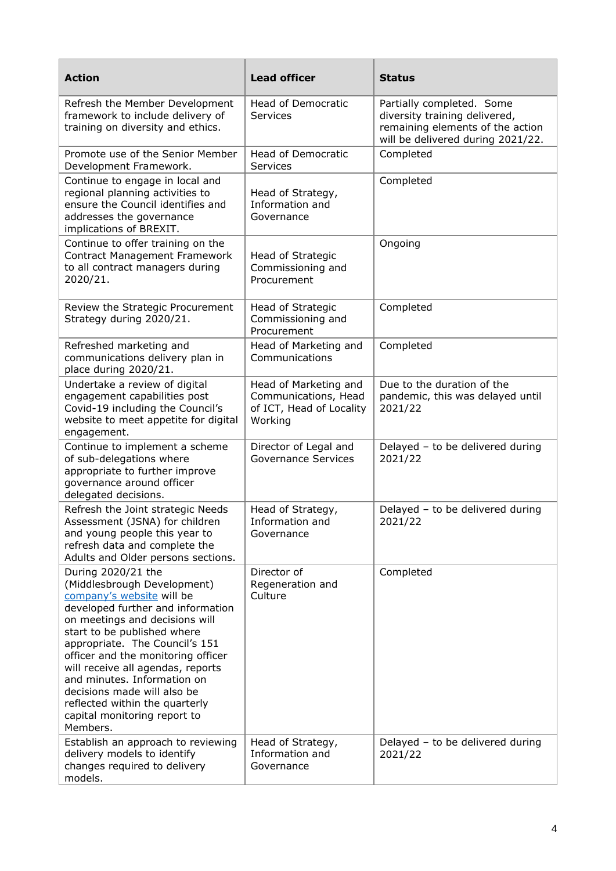| <b>Action</b>                                                                                                                                                                                                                                                                                                                                                                                                                                 | <b>Lead officer</b>                                                                  | <b>Status</b>                                                                                                                       |
|-----------------------------------------------------------------------------------------------------------------------------------------------------------------------------------------------------------------------------------------------------------------------------------------------------------------------------------------------------------------------------------------------------------------------------------------------|--------------------------------------------------------------------------------------|-------------------------------------------------------------------------------------------------------------------------------------|
| Refresh the Member Development<br>framework to include delivery of<br>training on diversity and ethics.                                                                                                                                                                                                                                                                                                                                       | Head of Democratic<br>Services                                                       | Partially completed. Some<br>diversity training delivered,<br>remaining elements of the action<br>will be delivered during 2021/22. |
| Promote use of the Senior Member<br>Development Framework.                                                                                                                                                                                                                                                                                                                                                                                    | Head of Democratic<br>Services                                                       | Completed                                                                                                                           |
| Continue to engage in local and<br>regional planning activities to<br>ensure the Council identifies and<br>addresses the governance<br>implications of BREXIT.                                                                                                                                                                                                                                                                                | Head of Strategy,<br>Information and<br>Governance                                   | Completed                                                                                                                           |
| Continue to offer training on the<br><b>Contract Management Framework</b><br>to all contract managers during<br>2020/21.                                                                                                                                                                                                                                                                                                                      | Head of Strategic<br>Commissioning and<br>Procurement                                | Ongoing                                                                                                                             |
| Review the Strategic Procurement<br>Strategy during 2020/21.                                                                                                                                                                                                                                                                                                                                                                                  | Head of Strategic<br>Commissioning and<br>Procurement                                | Completed                                                                                                                           |
| Refreshed marketing and<br>communications delivery plan in<br>place during 2020/21.                                                                                                                                                                                                                                                                                                                                                           | Head of Marketing and<br>Communications                                              | Completed                                                                                                                           |
| Undertake a review of digital<br>engagement capabilities post<br>Covid-19 including the Council's<br>website to meet appetite for digital<br>engagement.                                                                                                                                                                                                                                                                                      | Head of Marketing and<br>Communications, Head<br>of ICT, Head of Locality<br>Working | Due to the duration of the<br>pandemic, this was delayed until<br>2021/22                                                           |
| Continue to implement a scheme<br>of sub-delegations where<br>appropriate to further improve<br>governance around officer<br>delegated decisions.                                                                                                                                                                                                                                                                                             | Director of Legal and<br><b>Governance Services</b>                                  | Delayed - to be delivered during<br>2021/22                                                                                         |
| Refresh the Joint strategic Needs<br>Assessment (JSNA) for children<br>and young people this year to<br>refresh data and complete the<br>Adults and Older persons sections.                                                                                                                                                                                                                                                                   | Head of Strategy,<br>Information and<br>Governance                                   | Delayed - to be delivered during<br>2021/22                                                                                         |
| During 2020/21 the<br>(Middlesbrough Development)<br>company's website will be<br>developed further and information<br>on meetings and decisions will<br>start to be published where<br>appropriate. The Council's 151<br>officer and the monitoring officer<br>will receive all agendas, reports<br>and minutes. Information on<br>decisions made will also be<br>reflected within the quarterly<br>capital monitoring report to<br>Members. | Director of<br>Regeneration and<br>Culture                                           | Completed                                                                                                                           |
| Establish an approach to reviewing<br>delivery models to identify<br>changes required to delivery<br>models.                                                                                                                                                                                                                                                                                                                                  | Head of Strategy,<br>Information and<br>Governance                                   | Delayed - to be delivered during<br>2021/22                                                                                         |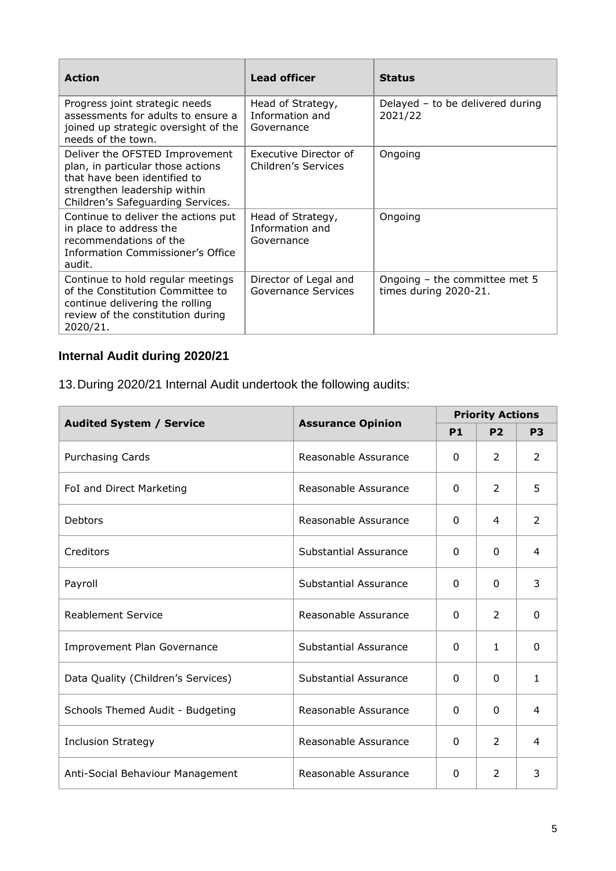| <b>Action</b>                                                                                                                                                            | <b>Lead officer</b>                                | <b>Status</b>                                          |
|--------------------------------------------------------------------------------------------------------------------------------------------------------------------------|----------------------------------------------------|--------------------------------------------------------|
| Progress joint strategic needs<br>assessments for adults to ensure a<br>joined up strategic oversight of the<br>needs of the town.                                       | Head of Strategy,<br>Information and<br>Governance | Delayed - to be delivered during<br>2021/22            |
| Deliver the OFSTED Improvement<br>plan, in particular those actions<br>that have been identified to<br>strengthen leadership within<br>Children's Safeguarding Services. | Executive Director of<br>Children's Services       | Ongoing                                                |
| Continue to deliver the actions put<br>in place to address the<br>recommendations of the<br>Information Commissioner's Office<br>audit.                                  | Head of Strategy,<br>Information and<br>Governance | Ongoing                                                |
| Continue to hold regular meetings<br>of the Constitution Committee to<br>continue delivering the rolling<br>review of the constitution during<br>2020/21.                | Director of Legal and<br>Governance Services       | Ongoing - the committee met 5<br>times during 2020-21. |

# **Internal Audit during 2020/21**

13.During 2020/21 Internal Audit undertook the following audits:

|                                    |                          | <b>Priority Actions</b> |                |                |
|------------------------------------|--------------------------|-------------------------|----------------|----------------|
| <b>Audited System / Service</b>    | <b>Assurance Opinion</b> | <b>P1</b>               | P <sub>2</sub> | P <sub>3</sub> |
| <b>Purchasing Cards</b>            | Reasonable Assurance     | 0                       | 2              | 2              |
| FoI and Direct Marketing           | Reasonable Assurance     | $\Omega$                | $\mathcal{P}$  | 5              |
| Debtors                            | Reasonable Assurance     | $\Omega$                | 4              | $\mathcal{P}$  |
| Creditors                          | Substantial Assurance    | 0                       | $\Omega$       | 4              |
| Payroll                            | Substantial Assurance    | $\Omega$                | $\Omega$       | 3              |
| <b>Reablement Service</b>          | Reasonable Assurance     | $\Omega$                | $\mathcal{P}$  | 0              |
| <b>Improvement Plan Governance</b> | Substantial Assurance    | $\Omega$                | 1              | $\Omega$       |
| Data Quality (Children's Services) | Substantial Assurance    | 0                       | 0              | $\mathbf{1}$   |
| Schools Themed Audit - Budgeting   | Reasonable Assurance     | $\Omega$                | $\Omega$       | 4              |
| <b>Inclusion Strategy</b>          | Reasonable Assurance     | $\Omega$                | $\mathcal{P}$  | 4              |
| Anti-Social Behaviour Management   | Reasonable Assurance     | $\Omega$                | $\mathcal{P}$  | 3              |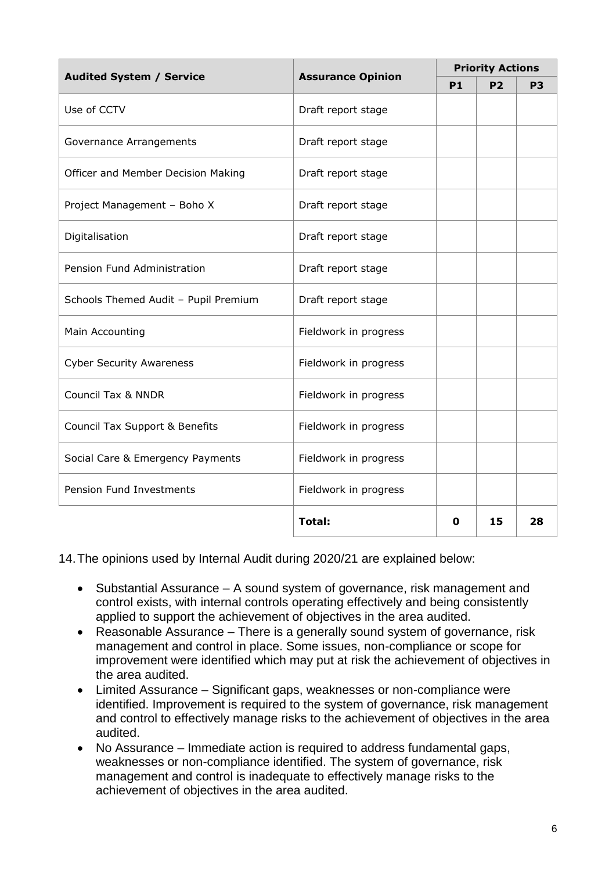| <b>Audited System / Service</b><br><b>Assurance Opinion</b> |                       | <b>Priority Actions</b> |           |                |
|-------------------------------------------------------------|-----------------------|-------------------------|-----------|----------------|
|                                                             |                       | P <sub>1</sub>          | <b>P2</b> | P <sub>3</sub> |
| Use of CCTV                                                 | Draft report stage    |                         |           |                |
| Governance Arrangements                                     | Draft report stage    |                         |           |                |
| Officer and Member Decision Making                          | Draft report stage    |                         |           |                |
| Project Management - Boho X                                 | Draft report stage    |                         |           |                |
| Digitalisation                                              | Draft report stage    |                         |           |                |
| Pension Fund Administration                                 | Draft report stage    |                         |           |                |
| Schools Themed Audit - Pupil Premium                        | Draft report stage    |                         |           |                |
| Main Accounting                                             | Fieldwork in progress |                         |           |                |
| <b>Cyber Security Awareness</b>                             | Fieldwork in progress |                         |           |                |
| <b>Council Tax &amp; NNDR</b>                               | Fieldwork in progress |                         |           |                |
| Council Tax Support & Benefits                              | Fieldwork in progress |                         |           |                |
| Social Care & Emergency Payments                            | Fieldwork in progress |                         |           |                |
| Pension Fund Investments                                    | Fieldwork in progress |                         |           |                |
|                                                             | Total:                | 0                       | 15        | 28             |

14.The opinions used by Internal Audit during 2020/21 are explained below:

- Substantial Assurance A sound system of governance, risk management and control exists, with internal controls operating effectively and being consistently applied to support the achievement of objectives in the area audited.
- Reasonable Assurance There is a generally sound system of governance, risk management and control in place. Some issues, non-compliance or scope for improvement were identified which may put at risk the achievement of objectives in the area audited.
- Limited Assurance Significant gaps, weaknesses or non-compliance were identified. Improvement is required to the system of governance, risk management and control to effectively manage risks to the achievement of objectives in the area audited.
- No Assurance Immediate action is required to address fundamental gaps, weaknesses or non-compliance identified. The system of governance, risk management and control is inadequate to effectively manage risks to the achievement of objectives in the area audited.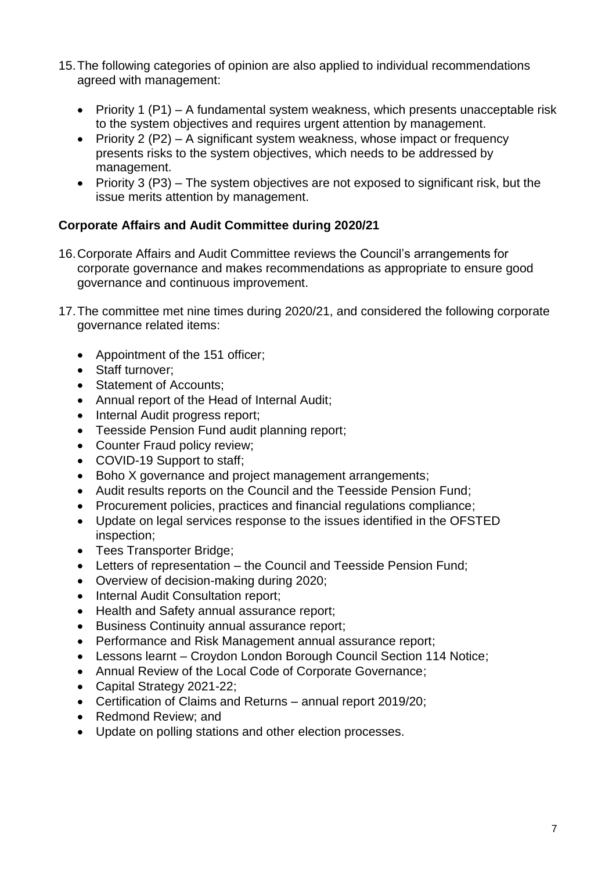- 15.The following categories of opinion are also applied to individual recommendations agreed with management:
	- Priority 1  $(P1) A$  fundamental system weakness, which presents unacceptable risk to the system objectives and requires urgent attention by management.
	- Priority 2 (P2) A significant system weakness, whose impact or frequency presents risks to the system objectives, which needs to be addressed by management.
	- Priority 3 ( $P3$ ) The system objectives are not exposed to significant risk, but the issue merits attention by management.

## **Corporate Affairs and Audit Committee during 2020/21**

- 16.Corporate Affairs and Audit Committee reviews the Council's arrangements for corporate governance and makes recommendations as appropriate to ensure good governance and continuous improvement.
- 17.The committee met nine times during 2020/21, and considered the following corporate governance related items:
	- Appointment of the 151 officer;
	- Staff turnover:
	- Statement of Accounts:
	- Annual report of the Head of Internal Audit;
	- Internal Audit progress report;
	- Teesside Pension Fund audit planning report:
	- Counter Fraud policy review;
	- COVID-19 Support to staff:
	- Boho X governance and project management arrangements;
	- Audit results reports on the Council and the Teesside Pension Fund;
	- Procurement policies, practices and financial regulations compliance;
	- Update on legal services response to the issues identified in the OFSTED inspection;
	- Tees Transporter Bridge:
	- Letters of representation the Council and Teesside Pension Fund;
	- Overview of decision-making during 2020;
	- Internal Audit Consultation report;
	- Health and Safety annual assurance report;
	- Business Continuity annual assurance report;
	- Performance and Risk Management annual assurance report;
	- Lessons learnt Croydon London Borough Council Section 114 Notice;
	- Annual Review of the Local Code of Corporate Governance;
	- Capital Strategy 2021-22;
	- Certification of Claims and Returns annual report 2019/20;
	- Redmond Review; and
	- Update on polling stations and other election processes.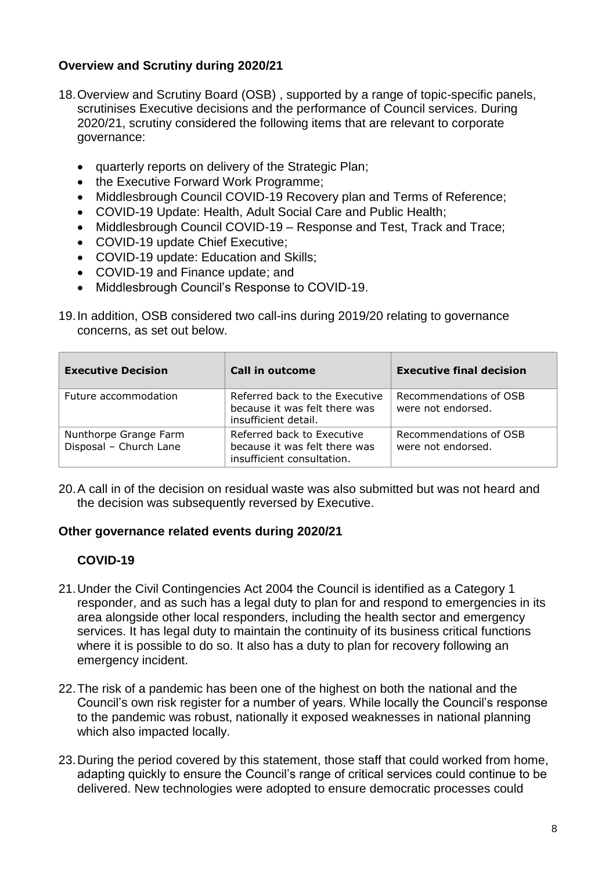## **Overview and Scrutiny during 2020/21**

- 18.Overview and Scrutiny Board (OSB) , supported by a range of topic-specific panels, scrutinises Executive decisions and the performance of Council services. During 2020/21, scrutiny considered the following items that are relevant to corporate governance:
	- quarterly reports on delivery of the Strategic Plan;
	- the Executive Forward Work Programme;
	- Middlesbrough Council COVID-19 Recovery plan and Terms of Reference;
	- COVID-19 Update: Health, Adult Social Care and Public Health;
	- Middlesbrough Council COVID-19 Response and Test, Track and Trace:
	- COVID-19 update Chief Executive;
	- COVID-19 update: Education and Skills:
	- COVID-19 and Finance update; and
	- Middlesbrough Council's Response to COVID-19.
- 19.In addition, OSB considered two call-ins during 2019/20 relating to governance concerns, as set out below.

| <b>Executive Decision</b>                       | <b>Call in outcome</b>                                                                    | <b>Executive final decision</b>              |
|-------------------------------------------------|-------------------------------------------------------------------------------------------|----------------------------------------------|
| Future accommodation                            | Referred back to the Executive<br>because it was felt there was<br>insufficient detail.   | Recommendations of OSB<br>were not endorsed. |
| Nunthorpe Grange Farm<br>Disposal - Church Lane | Referred back to Executive<br>because it was felt there was<br>insufficient consultation. | Recommendations of OSB<br>were not endorsed. |

20.A call in of the decision on residual waste was also submitted but was not heard and the decision was subsequently reversed by Executive.

## **Other governance related events during 2020/21**

## **COVID-19**

- 21.Under the Civil Contingencies Act 2004 the Council is identified as a Category 1 responder, and as such has a legal duty to plan for and respond to emergencies in its area alongside other local responders, including the health sector and emergency services. It has legal duty to maintain the continuity of its business critical functions where it is possible to do so. It also has a duty to plan for recovery following an emergency incident.
- 22.The risk of a pandemic has been one of the highest on both the national and the Council's own risk register for a number of years. While locally the Council's response to the pandemic was robust, nationally it exposed weaknesses in national planning which also impacted locally.
- 23.During the period covered by this statement, those staff that could worked from home, adapting quickly to ensure the Council's range of critical services could continue to be delivered. New technologies were adopted to ensure democratic processes could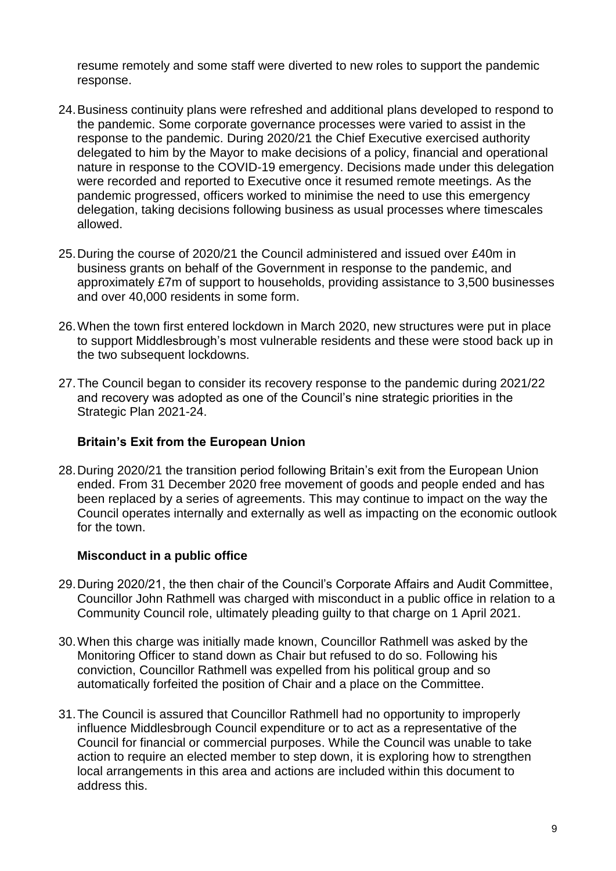resume remotely and some staff were diverted to new roles to support the pandemic response.

- 24.Business continuity plans were refreshed and additional plans developed to respond to the pandemic. Some corporate governance processes were varied to assist in the response to the pandemic. During 2020/21 the Chief Executive exercised authority delegated to him by the Mayor to make decisions of a policy, financial and operational nature in response to the COVID-19 emergency. Decisions made under this delegation were recorded and reported to Executive once it resumed remote meetings. As the pandemic progressed, officers worked to minimise the need to use this emergency delegation, taking decisions following business as usual processes where timescales allowed.
- 25.During the course of 2020/21 the Council administered and issued over £40m in business grants on behalf of the Government in response to the pandemic, and approximately £7m of support to households, providing assistance to 3,500 businesses and over 40,000 residents in some form.
- 26.When the town first entered lockdown in March 2020, new structures were put in place to support Middlesbrough's most vulnerable residents and these were stood back up in the two subsequent lockdowns.
- 27.The Council began to consider its recovery response to the pandemic during 2021/22 and recovery was adopted as one of the Council's nine strategic priorities in the Strategic Plan 2021-24.

### **Britain's Exit from the European Union**

28.During 2020/21 the transition period following Britain's exit from the European Union ended. From 31 December 2020 free movement of goods and people ended and has been replaced by a series of agreements. This may continue to impact on the way the Council operates internally and externally as well as impacting on the economic outlook for the town.

#### **Misconduct in a public office**

- 29.During 2020/21, the then chair of the Council's Corporate Affairs and Audit Committee, Councillor John Rathmell was charged with misconduct in a public office in relation to a Community Council role, ultimately pleading guilty to that charge on 1 April 2021.
- 30.When this charge was initially made known, Councillor Rathmell was asked by the Monitoring Officer to stand down as Chair but refused to do so. Following his conviction, Councillor Rathmell was expelled from his political group and so automatically forfeited the position of Chair and a place on the Committee.
- 31.The Council is assured that Councillor Rathmell had no opportunity to improperly influence Middlesbrough Council expenditure or to act as a representative of the Council for financial or commercial purposes. While the Council was unable to take action to require an elected member to step down, it is exploring how to strengthen local arrangements in this area and actions are included within this document to address this.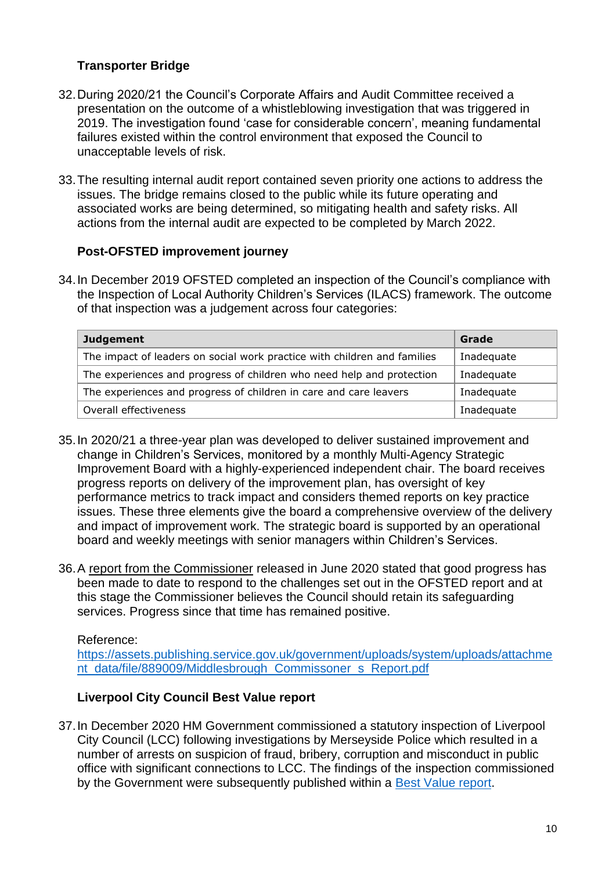## **Transporter Bridge**

- 32.During 2020/21 the Council's Corporate Affairs and Audit Committee received a presentation on the outcome of a whistleblowing investigation that was triggered in 2019. The investigation found 'case for considerable concern', meaning fundamental failures existed within the control environment that exposed the Council to unacceptable levels of risk.
- 33.The resulting internal audit report contained seven priority one actions to address the issues. The bridge remains closed to the public while its future operating and associated works are being determined, so mitigating health and safety risks. All actions from the internal audit are expected to be completed by March 2022.

## **Post-OFSTED improvement journey**

34.In December 2019 OFSTED completed an inspection of the Council's compliance with the Inspection of Local Authority Children's Services (ILACS) framework. The outcome of that inspection was a judgement across four categories:

| <b>Judgement</b>                                                         | Grade      |
|--------------------------------------------------------------------------|------------|
| The impact of leaders on social work practice with children and families | Inadequate |
| The experiences and progress of children who need help and protection    | Inadequate |
| The experiences and progress of children in care and care leavers        | Inadequate |
| Overall effectiveness                                                    | Inadequate |

- 35.In 2020/21 a three-year plan was developed to deliver sustained improvement and change in Children's Services, monitored by a monthly Multi-Agency Strategic Improvement Board with a highly-experienced independent chair. The board receives progress reports on delivery of the improvement plan, has oversight of key performance metrics to track impact and considers themed reports on key practice issues. These three elements give the board a comprehensive overview of the delivery and impact of improvement work. The strategic board is supported by an operational board and weekly meetings with senior managers within Children's Services.
- 36.A [report from the Commissioner](https://assets.publishing.service.gov.uk/government/uploads/system/uploads/attachment_data/file/889009/Middlesbrough_Commissoner_s_Report.pdf) released in June 2020 stated that good progress has been made to date to respond to the challenges set out in the OFSTED report and at this stage the Commissioner believes the Council should retain its safeguarding services. Progress since that time has remained positive.

Reference:

[https://assets.publishing.service.gov.uk/government/uploads/system/uploads/attachme](https://assets.publishing.service.gov.uk/government/uploads/system/uploads/attachment_data/file/889009/Middlesbrough_Commissoner_s_Report.pdf) [nt\\_data/file/889009/Middlesbrough\\_Commissoner\\_s\\_Report.pdf](https://assets.publishing.service.gov.uk/government/uploads/system/uploads/attachment_data/file/889009/Middlesbrough_Commissoner_s_Report.pdf)

#### **Liverpool City Council Best Value report**

37.In December 2020 HM Government commissioned a statutory inspection of Liverpool City Council (LCC) following investigations by Merseyside Police which resulted in a number of arrests on suspicion of fraud, bribery, corruption and misconduct in public office with significant connections to LCC. The findings of the inspection commissioned by the Government were subsequently published within a [Best Value report.](https://assets.publishing.service.gov.uk/government/uploads/system/uploads/attachment_data/file/976197/Liverpool_Best_Value_inspection_report.pdf)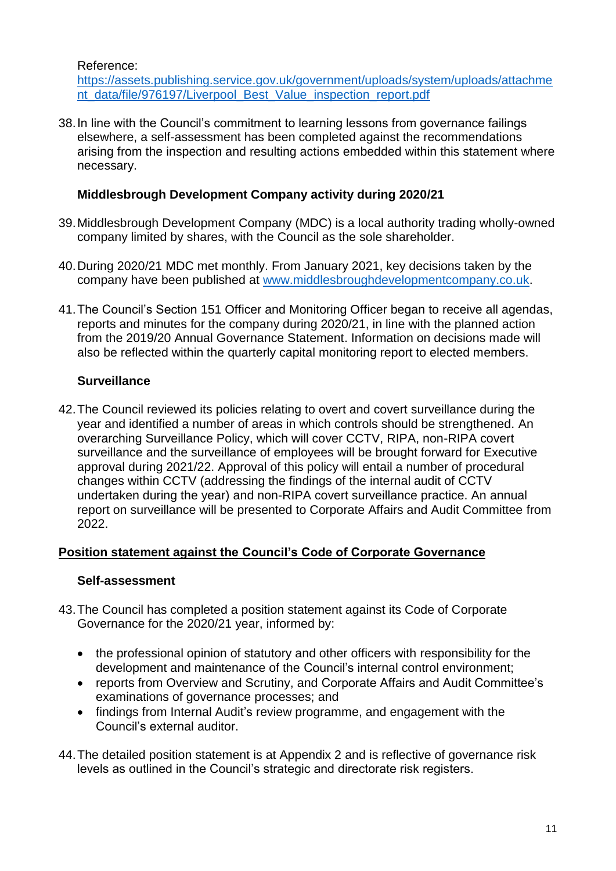Reference:

[https://assets.publishing.service.gov.uk/government/uploads/system/uploads/attachme](https://assets.publishing.service.gov.uk/government/uploads/system/uploads/attachment_data/file/976197/Liverpool_Best_Value_inspection_report.pdf) [nt\\_data/file/976197/Liverpool\\_Best\\_Value\\_inspection\\_report.pdf](https://assets.publishing.service.gov.uk/government/uploads/system/uploads/attachment_data/file/976197/Liverpool_Best_Value_inspection_report.pdf)

38.In line with the Council's commitment to learning lessons from governance failings elsewhere, a self-assessment has been completed against the recommendations arising from the inspection and resulting actions embedded within this statement where necessary.

### **Middlesbrough Development Company activity during 2020/21**

- 39.Middlesbrough Development Company (MDC) is a local authority trading wholly-owned company limited by shares, with the Council as the sole shareholder.
- 40.During 2020/21 MDC met monthly. From January 2021, key decisions taken by the company have been published at [www.middlesbroughdevelopmentcompany.co.uk.](http://www.middlesbroughdevelopmentcompany.co.uk/)
- 41.The Council's Section 151 Officer and Monitoring Officer began to receive all agendas, reports and minutes for the company during 2020/21, in line with the planned action from the 2019/20 Annual Governance Statement. Information on decisions made will also be reflected within the quarterly capital monitoring report to elected members.

## **Surveillance**

42.The Council reviewed its policies relating to overt and covert surveillance during the year and identified a number of areas in which controls should be strengthened. An overarching Surveillance Policy, which will cover CCTV, RIPA, non-RIPA covert surveillance and the surveillance of employees will be brought forward for Executive approval during 2021/22. Approval of this policy will entail a number of procedural changes within CCTV (addressing the findings of the internal audit of CCTV undertaken during the year) and non-RIPA covert surveillance practice. An annual report on surveillance will be presented to Corporate Affairs and Audit Committee from 2022.

## **Position statement against the Council's Code of Corporate Governance**

#### **Self-assessment**

- 43.The Council has completed a position statement against its Code of Corporate Governance for the 2020/21 year, informed by:
	- the professional opinion of statutory and other officers with responsibility for the development and maintenance of the Council's internal control environment;
	- reports from Overview and Scrutiny, and Corporate Affairs and Audit Committee's examinations of governance processes; and
	- findings from Internal Audit's review programme, and engagement with the Council's external auditor.
- 44.The detailed position statement is at Appendix 2 and is reflective of governance risk levels as outlined in the Council's strategic and directorate risk registers.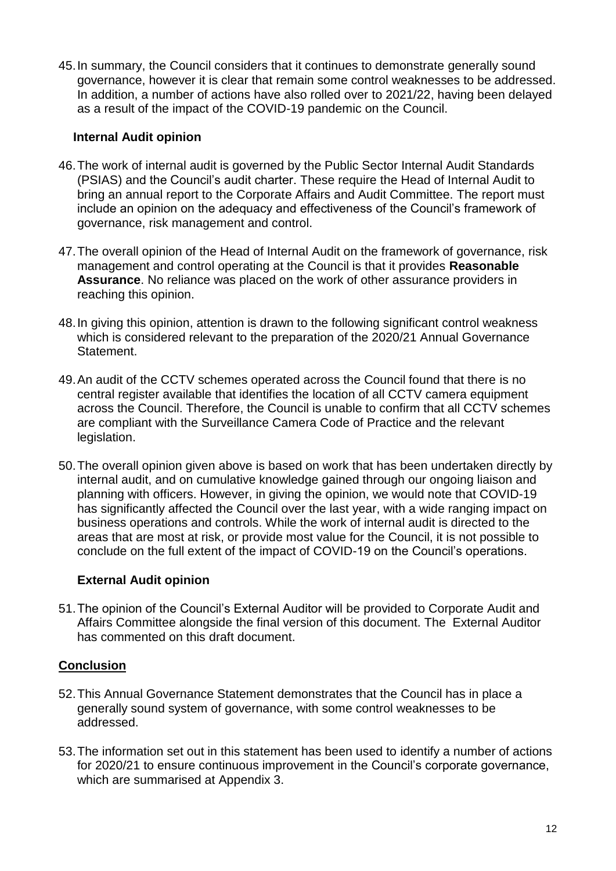45.In summary, the Council considers that it continues to demonstrate generally sound governance, however it is clear that remain some control weaknesses to be addressed. In addition, a number of actions have also rolled over to 2021/22, having been delayed as a result of the impact of the COVID-19 pandemic on the Council.

#### **Internal Audit opinion**

- 46.The work of internal audit is governed by the Public Sector Internal Audit Standards (PSIAS) and the Council's audit charter. These require the Head of Internal Audit to bring an annual report to the Corporate Affairs and Audit Committee. The report must include an opinion on the adequacy and effectiveness of the Council's framework of governance, risk management and control.
- 47.The overall opinion of the Head of Internal Audit on the framework of governance, risk management and control operating at the Council is that it provides **Reasonable Assurance**. No reliance was placed on the work of other assurance providers in reaching this opinion.
- 48.In giving this opinion, attention is drawn to the following significant control weakness which is considered relevant to the preparation of the 2020/21 Annual Governance Statement.
- 49.An audit of the CCTV schemes operated across the Council found that there is no central register available that identifies the location of all CCTV camera equipment across the Council. Therefore, the Council is unable to confirm that all CCTV schemes are compliant with the Surveillance Camera Code of Practice and the relevant legislation.
- 50.The overall opinion given above is based on work that has been undertaken directly by internal audit, and on cumulative knowledge gained through our ongoing liaison and planning with officers. However, in giving the opinion, we would note that COVID-19 has significantly affected the Council over the last year, with a wide ranging impact on business operations and controls. While the work of internal audit is directed to the areas that are most at risk, or provide most value for the Council, it is not possible to conclude on the full extent of the impact of COVID-19 on the Council's operations.

## **External Audit opinion**

51.The opinion of the Council's External Auditor will be provided to Corporate Audit and Affairs Committee alongside the final version of this document. The External Auditor has commented on this draft document.

## **Conclusion**

- 52.This Annual Governance Statement demonstrates that the Council has in place a generally sound system of governance, with some control weaknesses to be addressed.
- 53.The information set out in this statement has been used to identify a number of actions for 2020/21 to ensure continuous improvement in the Council's corporate governance, which are summarised at Appendix 3.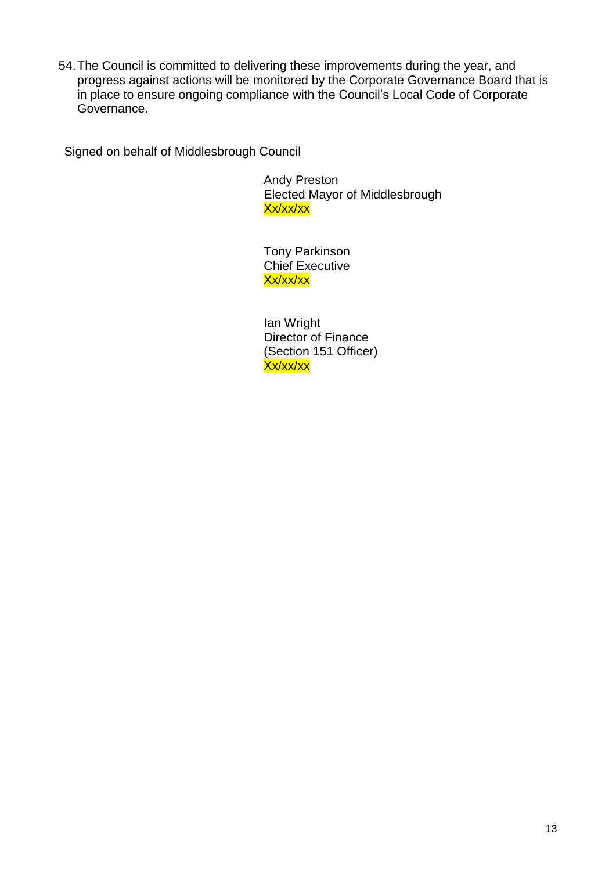54.The Council is committed to delivering these improvements during the year, and progress against actions will be monitored by the Corporate Governance Board that is in place to ensure ongoing compliance with the Council's Local Code of Corporate Governance.

Signed on behalf of Middlesbrough Council

Andy Preston Elected Mayor of Middlesbrough Xx/xx/xx

Tony Parkinson Chief Executive Xx/xx/xx

Ian Wright Director of Finance (Section 151 Officer) Xx/xx/xx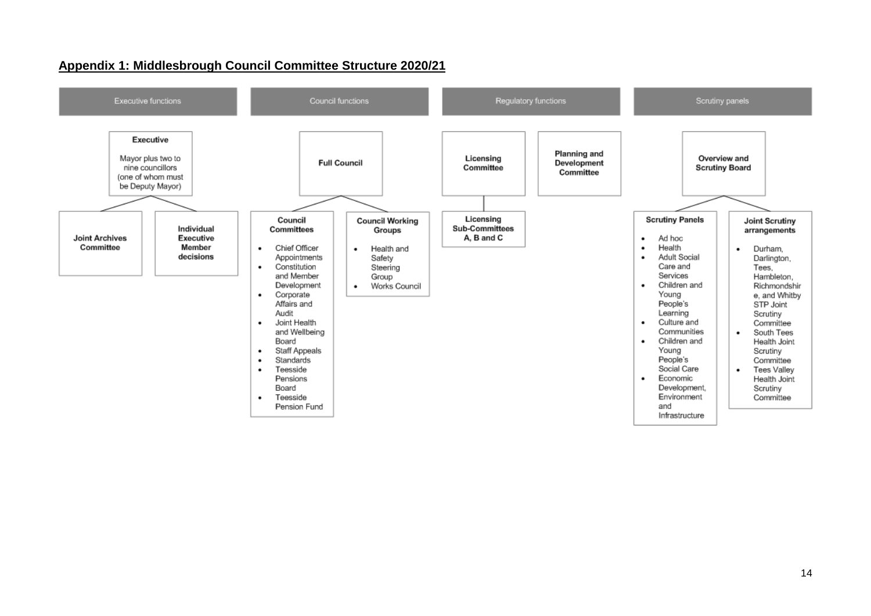

#### **Appendix 1: Middlesbrough Council Committee Structure 2020/21**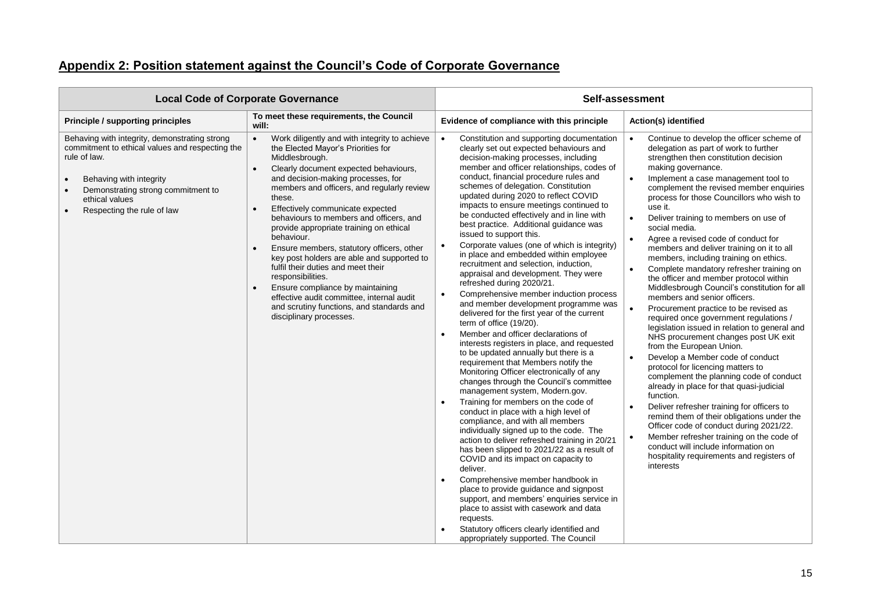## **Appendix 2: Position statement against the Council's Code of Corporate Governance**

|                                                                                                                                                                                                                                   | <b>Local Code of Corporate Governance</b>                                                                                                                                                                                                                                                                                                                                                                                                                                                                                                                                                                                                                                                                                                               |                                                                                                                                                                                                                                                                                                                                                                                                                                                                                                                                                                                                                                                                                                                                                                                                                                                                                                                                                                                                                                                                                                                                                                                                                                                                                                                                                                                                                                                                                                                                                                                                                                                                                                                                                                                                          | Self-assessment                                                                                                                                                                                                                                                                                                                                                                                                                                                                                                                                                                                                                                                                                                                                                                                                                                                                                                                                                                                                                                                                                                                                                                                                                                                                                                                                                                                                                                         |
|-----------------------------------------------------------------------------------------------------------------------------------------------------------------------------------------------------------------------------------|---------------------------------------------------------------------------------------------------------------------------------------------------------------------------------------------------------------------------------------------------------------------------------------------------------------------------------------------------------------------------------------------------------------------------------------------------------------------------------------------------------------------------------------------------------------------------------------------------------------------------------------------------------------------------------------------------------------------------------------------------------|----------------------------------------------------------------------------------------------------------------------------------------------------------------------------------------------------------------------------------------------------------------------------------------------------------------------------------------------------------------------------------------------------------------------------------------------------------------------------------------------------------------------------------------------------------------------------------------------------------------------------------------------------------------------------------------------------------------------------------------------------------------------------------------------------------------------------------------------------------------------------------------------------------------------------------------------------------------------------------------------------------------------------------------------------------------------------------------------------------------------------------------------------------------------------------------------------------------------------------------------------------------------------------------------------------------------------------------------------------------------------------------------------------------------------------------------------------------------------------------------------------------------------------------------------------------------------------------------------------------------------------------------------------------------------------------------------------------------------------------------------------------------------------------------------------|---------------------------------------------------------------------------------------------------------------------------------------------------------------------------------------------------------------------------------------------------------------------------------------------------------------------------------------------------------------------------------------------------------------------------------------------------------------------------------------------------------------------------------------------------------------------------------------------------------------------------------------------------------------------------------------------------------------------------------------------------------------------------------------------------------------------------------------------------------------------------------------------------------------------------------------------------------------------------------------------------------------------------------------------------------------------------------------------------------------------------------------------------------------------------------------------------------------------------------------------------------------------------------------------------------------------------------------------------------------------------------------------------------------------------------------------------------|
| <b>Principle / supporting principles</b>                                                                                                                                                                                          | To meet these requirements, the Council<br>will:                                                                                                                                                                                                                                                                                                                                                                                                                                                                                                                                                                                                                                                                                                        | Evidence of compliance with this principle                                                                                                                                                                                                                                                                                                                                                                                                                                                                                                                                                                                                                                                                                                                                                                                                                                                                                                                                                                                                                                                                                                                                                                                                                                                                                                                                                                                                                                                                                                                                                                                                                                                                                                                                                               | <b>Action(s) identified</b>                                                                                                                                                                                                                                                                                                                                                                                                                                                                                                                                                                                                                                                                                                                                                                                                                                                                                                                                                                                                                                                                                                                                                                                                                                                                                                                                                                                                                             |
| Behaving with integrity, demonstrating strong<br>commitment to ethical values and respecting the<br>rule of law.<br>Behaving with integrity<br>Demonstrating strong commitment to<br>ethical values<br>Respecting the rule of law | Work diligently and with integrity to achieve<br>$\bullet$<br>the Elected Mayor's Priorities for<br>Middlesbrough.<br>Clearly document expected behaviours,<br>$\bullet$<br>and decision-making processes, for<br>members and officers, and regularly review<br>these.<br>Effectively communicate expected<br>$\bullet$<br>behaviours to members and officers, and<br>provide appropriate training on ethical<br>behaviour.<br>Ensure members, statutory officers, other<br>$\bullet$<br>key post holders are able and supported to<br>fulfil their duties and meet their<br>responsibilities.<br>Ensure compliance by maintaining<br>effective audit committee, internal audit<br>and scrutiny functions, and standards and<br>disciplinary processes. | Constitution and supporting documentation<br>$\bullet$<br>clearly set out expected behaviours and<br>decision-making processes, including<br>member and officer relationships, codes of<br>conduct, financial procedure rules and<br>schemes of delegation. Constitution<br>updated during 2020 to reflect COVID<br>impacts to ensure meetings continued to<br>be conducted effectively and in line with<br>best practice. Additional guidance was<br>issued to support this.<br>Corporate values (one of which is integrity)<br>$\bullet$<br>in place and embedded within employee<br>recruitment and selection, induction,<br>appraisal and development. They were<br>refreshed during 2020/21.<br>Comprehensive member induction process<br>$\bullet$<br>and member development programme was<br>delivered for the first year of the current<br>term of office (19/20).<br>Member and officer declarations of<br>$\bullet$<br>interests registers in place, and requested<br>to be updated annually but there is a<br>requirement that Members notify the<br>Monitoring Officer electronically of any<br>changes through the Council's committee<br>management system, Modern.gov.<br>Training for members on the code of<br>$\bullet$<br>conduct in place with a high level of<br>compliance, and with all members<br>individually signed up to the code. The<br>action to deliver refreshed training in 20/21<br>has been slipped to 2021/22 as a result of<br>COVID and its impact on capacity to<br>deliver.<br>Comprehensive member handbook in<br>$\bullet$<br>place to provide guidance and signpost<br>support, and members' enquiries service in<br>place to assist with casework and data<br>requests.<br>Statutory officers clearly identified and<br>appropriately supported. The Council | Continue to develop the officer scheme of<br>$\bullet$<br>delegation as part of work to further<br>strengthen then constitution decision<br>making governance.<br>Implement a case management tool to<br>$\bullet$<br>complement the revised member enquiries<br>process for those Councillors who wish to<br>use it.<br>Deliver training to members on use of<br>$\bullet$<br>social media.<br>Agree a revised code of conduct for<br>$\bullet$<br>members and deliver training on it to all<br>members, including training on ethics.<br>Complete mandatory refresher training on<br>$\bullet$<br>the officer and member protocol within<br>Middlesbrough Council's constitution for all<br>members and senior officers.<br>Procurement practice to be revised as<br>$\bullet$<br>required once government regulations /<br>legislation issued in relation to general and<br>NHS procurement changes post UK exit<br>from the European Union.<br>Develop a Member code of conduct<br>$\bullet$<br>protocol for licencing matters to<br>complement the planning code of conduct<br>already in place for that quasi-judicial<br>function.<br>Deliver refresher training for officers to<br>$\bullet$<br>remind them of their obligations under the<br>Officer code of conduct during 2021/22.<br>Member refresher training on the code of<br>$\bullet$<br>conduct will include information on<br>hospitality requirements and registers of<br>interests |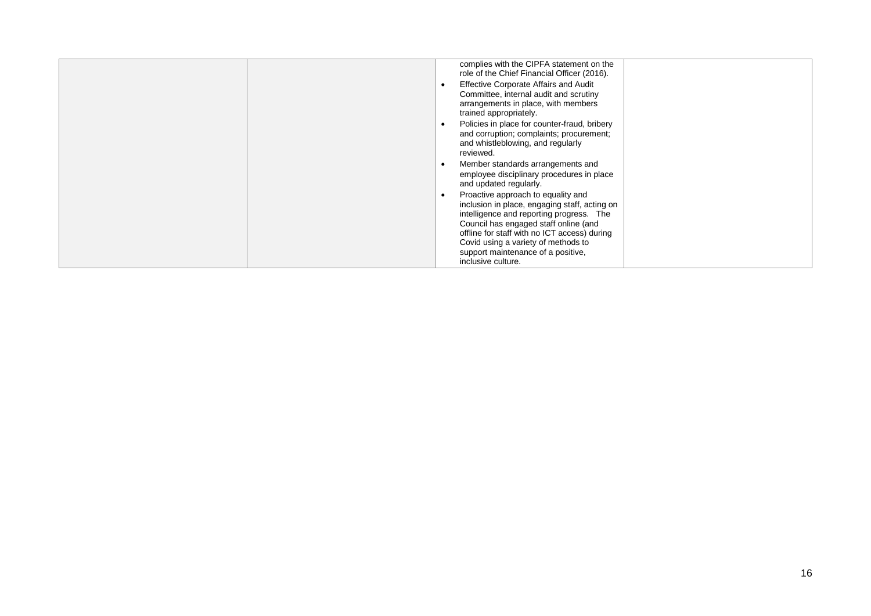| complies with the CIPFA statement on the<br>role of the Chief Financial Officer (2016).<br><b>Effective Corporate Affairs and Audit</b><br>Committee, internal audit and scrutiny<br>arrangements in place, with members<br>trained appropriately.<br>Policies in place for counter-fraud, bribery<br>and corruption; complaints; procurement;<br>and whistleblowing, and regularly                                                                  |
|------------------------------------------------------------------------------------------------------------------------------------------------------------------------------------------------------------------------------------------------------------------------------------------------------------------------------------------------------------------------------------------------------------------------------------------------------|
| reviewed.<br>Member standards arrangements and<br>employee disciplinary procedures in place<br>and updated regularly.<br>Proactive approach to equality and<br>inclusion in place, engaging staff, acting on<br>intelligence and reporting progress. The<br>Council has engaged staff online (and<br>offline for staff with no ICT access) during<br>Covid using a variety of methods to<br>support maintenance of a positive,<br>inclusive culture. |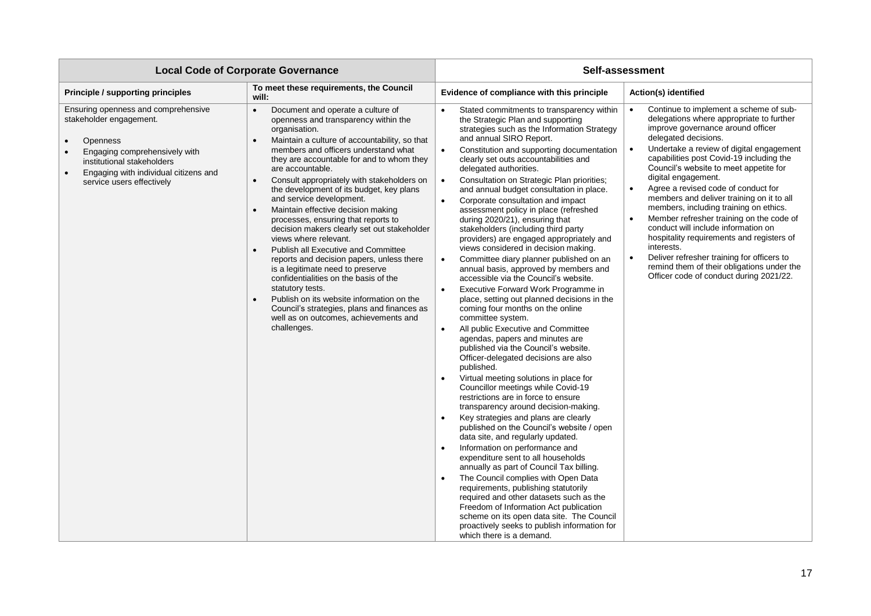|                                                                                                                                                                                                                                     | <b>Local Code of Corporate Governance</b>                                                                                                                                                                                                                                                                                                                                                                                                                                                                                                                                                                                                                                                                                                                                                                                                                                                                                           |                                                                                                                                                                                                                                                                                                                                                                                                                                                                                                                                                                                                                                                                                                                                                                                                                                                                                                                                                                                                                                                                                                                                                                                                                                                                                                                                                                                                                                                                                                                                                                                                                                                                                                                                                                                                                                                                                                                           | Self-assessment                                                                                                                                                                                                                                                                                                                                                                                                                                                                                                                                                                                                                                                                                                                          |
|-------------------------------------------------------------------------------------------------------------------------------------------------------------------------------------------------------------------------------------|-------------------------------------------------------------------------------------------------------------------------------------------------------------------------------------------------------------------------------------------------------------------------------------------------------------------------------------------------------------------------------------------------------------------------------------------------------------------------------------------------------------------------------------------------------------------------------------------------------------------------------------------------------------------------------------------------------------------------------------------------------------------------------------------------------------------------------------------------------------------------------------------------------------------------------------|---------------------------------------------------------------------------------------------------------------------------------------------------------------------------------------------------------------------------------------------------------------------------------------------------------------------------------------------------------------------------------------------------------------------------------------------------------------------------------------------------------------------------------------------------------------------------------------------------------------------------------------------------------------------------------------------------------------------------------------------------------------------------------------------------------------------------------------------------------------------------------------------------------------------------------------------------------------------------------------------------------------------------------------------------------------------------------------------------------------------------------------------------------------------------------------------------------------------------------------------------------------------------------------------------------------------------------------------------------------------------------------------------------------------------------------------------------------------------------------------------------------------------------------------------------------------------------------------------------------------------------------------------------------------------------------------------------------------------------------------------------------------------------------------------------------------------------------------------------------------------------------------------------------------------|------------------------------------------------------------------------------------------------------------------------------------------------------------------------------------------------------------------------------------------------------------------------------------------------------------------------------------------------------------------------------------------------------------------------------------------------------------------------------------------------------------------------------------------------------------------------------------------------------------------------------------------------------------------------------------------------------------------------------------------|
| <b>Principle / supporting principles</b>                                                                                                                                                                                            | To meet these requirements, the Council<br>will:                                                                                                                                                                                                                                                                                                                                                                                                                                                                                                                                                                                                                                                                                                                                                                                                                                                                                    | Evidence of compliance with this principle                                                                                                                                                                                                                                                                                                                                                                                                                                                                                                                                                                                                                                                                                                                                                                                                                                                                                                                                                                                                                                                                                                                                                                                                                                                                                                                                                                                                                                                                                                                                                                                                                                                                                                                                                                                                                                                                                | Action(s) identified                                                                                                                                                                                                                                                                                                                                                                                                                                                                                                                                                                                                                                                                                                                     |
| Ensuring openness and comprehensive<br>stakeholder engagement.<br><b>Openness</b><br>Engaging comprehensively with<br>institutional stakeholders<br>Engaging with individual citizens and<br>$\bullet$<br>service users effectively | Document and operate a culture of<br>$\bullet$<br>openness and transparency within the<br>organisation.<br>Maintain a culture of accountability, so that<br>$\bullet$<br>members and officers understand what<br>they are accountable for and to whom they<br>are accountable.<br>Consult appropriately with stakeholders on<br>$\bullet$<br>the development of its budget, key plans<br>and service development.<br>Maintain effective decision making<br>$\bullet$<br>processes, ensuring that reports to<br>decision makers clearly set out stakeholder<br>views where relevant.<br><b>Publish all Executive and Committee</b><br>reports and decision papers, unless there<br>is a legitimate need to preserve<br>confidentialities on the basis of the<br>statutory tests.<br>Publish on its website information on the<br>Council's strategies, plans and finances as<br>well as on outcomes, achievements and<br>challenges. | Stated commitments to transparency within<br>$\bullet$<br>the Strategic Plan and supporting<br>strategies such as the Information Strategy<br>and annual SIRO Report.<br>Constitution and supporting documentation<br>$\bullet$<br>clearly set outs accountabilities and<br>delegated authorities.<br>Consultation on Strategic Plan priorities;<br>$\bullet$<br>and annual budget consultation in place.<br>Corporate consultation and impact<br>$\bullet$<br>assessment policy in place (refreshed<br>during 2020/21), ensuring that<br>stakeholders (including third party<br>providers) are engaged appropriately and<br>views considered in decision making.<br>Committee diary planner published on an<br>$\bullet$<br>annual basis, approved by members and<br>accessible via the Council's website.<br>Executive Forward Work Programme in<br>$\bullet$<br>place, setting out planned decisions in the<br>coming four months on the online<br>committee system.<br>All public Executive and Committee<br>$\bullet$<br>agendas, papers and minutes are<br>published via the Council's website.<br>Officer-delegated decisions are also<br>published.<br>Virtual meeting solutions in place for<br>$\bullet$<br>Councillor meetings while Covid-19<br>restrictions are in force to ensure<br>transparency around decision-making.<br>Key strategies and plans are clearly<br>$\bullet$<br>published on the Council's website / open<br>data site, and regularly updated.<br>Information on performance and<br>$\bullet$<br>expenditure sent to all households<br>annually as part of Council Tax billing.<br>The Council complies with Open Data<br>$\bullet$<br>requirements, publishing statutorily<br>required and other datasets such as the<br>Freedom of Information Act publication<br>scheme on its open data site. The Council<br>proactively seeks to publish information for<br>which there is a demand. | Continue to implement a scheme of sub-<br>delegations where appropriate to further<br>improve governance around officer<br>delegated decisions.<br>Undertake a review of digital engagement<br>capabilities post Covid-19 including the<br>Council's website to meet appetite for<br>digital engagement.<br>Agree a revised code of conduct for<br>members and deliver training on it to all<br>members, including training on ethics.<br>Member refresher training on the code of<br>conduct will include information on<br>hospitality requirements and registers of<br>interests.<br>Deliver refresher training for officers to<br>$\bullet$<br>remind them of their obligations under the<br>Officer code of conduct during 2021/22. |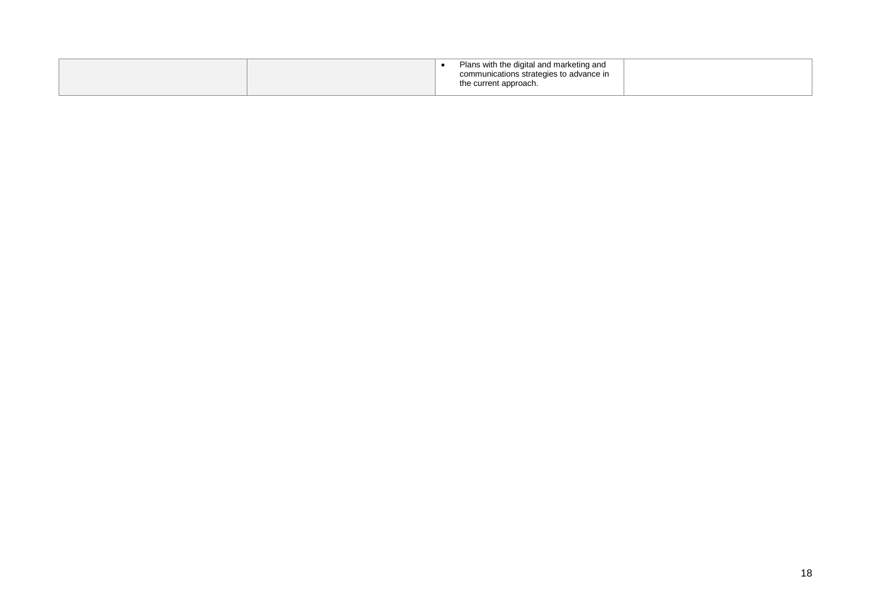| communications strategies to advance in<br>the current approach. |  |  | Plans with the digital and marketing and |
|------------------------------------------------------------------|--|--|------------------------------------------|
|------------------------------------------------------------------|--|--|------------------------------------------|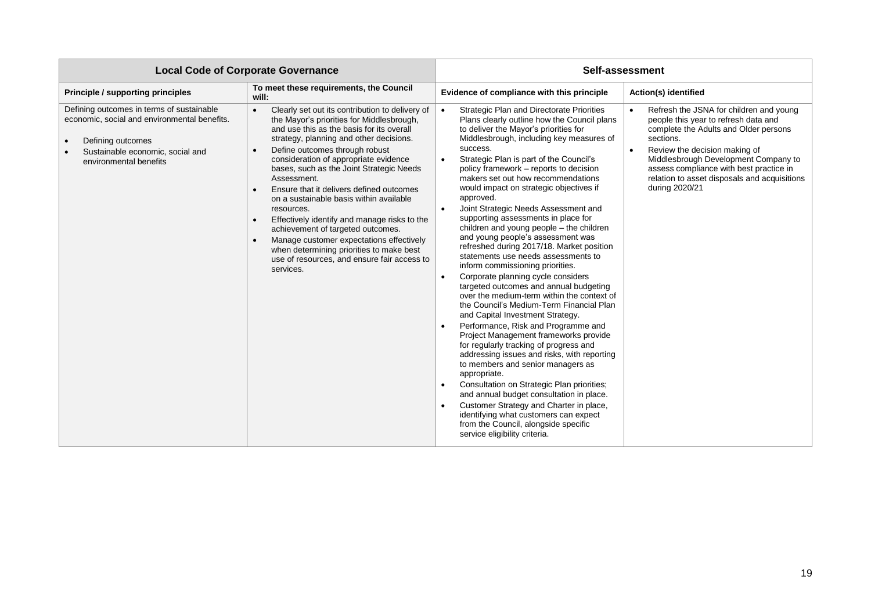| <b>Local Code of Corporate Governance</b>                                                                                                                                    |                                                                                                                                                                                                                                                                                                                                                                                                                                                                                                                                                                                                                                                                                                                 | Self-assessment                                                                                                                                                                                                                                                                                                                                                                                                                                                                                                                                                                                                                                                                                                                                                                                                                                                                                                                                                                                                                                                                                                                                                                                                                                                                                                                                                                                                                                                           |                                                                                                                                                                                                                                                                                                                             |  |
|------------------------------------------------------------------------------------------------------------------------------------------------------------------------------|-----------------------------------------------------------------------------------------------------------------------------------------------------------------------------------------------------------------------------------------------------------------------------------------------------------------------------------------------------------------------------------------------------------------------------------------------------------------------------------------------------------------------------------------------------------------------------------------------------------------------------------------------------------------------------------------------------------------|---------------------------------------------------------------------------------------------------------------------------------------------------------------------------------------------------------------------------------------------------------------------------------------------------------------------------------------------------------------------------------------------------------------------------------------------------------------------------------------------------------------------------------------------------------------------------------------------------------------------------------------------------------------------------------------------------------------------------------------------------------------------------------------------------------------------------------------------------------------------------------------------------------------------------------------------------------------------------------------------------------------------------------------------------------------------------------------------------------------------------------------------------------------------------------------------------------------------------------------------------------------------------------------------------------------------------------------------------------------------------------------------------------------------------------------------------------------------------|-----------------------------------------------------------------------------------------------------------------------------------------------------------------------------------------------------------------------------------------------------------------------------------------------------------------------------|--|
| Principle / supporting principles                                                                                                                                            | To meet these requirements, the Council<br>will:                                                                                                                                                                                                                                                                                                                                                                                                                                                                                                                                                                                                                                                                | Evidence of compliance with this principle                                                                                                                                                                                                                                                                                                                                                                                                                                                                                                                                                                                                                                                                                                                                                                                                                                                                                                                                                                                                                                                                                                                                                                                                                                                                                                                                                                                                                                | Action(s) identified                                                                                                                                                                                                                                                                                                        |  |
| Defining outcomes in terms of sustainable<br>economic, social and environmental benefits.<br>Defining outcomes<br>Sustainable economic, social and<br>environmental benefits | Clearly set out its contribution to delivery of<br>$\bullet$<br>the Mayor's priorities for Middlesbrough,<br>and use this as the basis for its overall<br>strategy, planning and other decisions.<br>Define outcomes through robust<br>consideration of appropriate evidence<br>bases, such as the Joint Strategic Needs<br>Assessment.<br>Ensure that it delivers defined outcomes<br>$\bullet$<br>on a sustainable basis within available<br>resources.<br>Effectively identify and manage risks to the<br>$\bullet$<br>achievement of targeted outcomes.<br>Manage customer expectations effectively<br>when determining priorities to make best<br>use of resources, and ensure fair access to<br>services. | <b>Strategic Plan and Directorate Priorities</b><br>$\bullet$<br>Plans clearly outline how the Council plans<br>to deliver the Mayor's priorities for<br>Middlesbrough, including key measures of<br>success.<br>Strategic Plan is part of the Council's<br>$\bullet$<br>policy framework - reports to decision<br>makers set out how recommendations<br>would impact on strategic objectives if<br>approved.<br>Joint Strategic Needs Assessment and<br>$\bullet$<br>supporting assessments in place for<br>children and young people - the children<br>and young people's assessment was<br>refreshed during 2017/18. Market position<br>statements use needs assessments to<br>inform commissioning priorities.<br>Corporate planning cycle considers<br>$\bullet$<br>targeted outcomes and annual budgeting<br>over the medium-term within the context of<br>the Council's Medium-Term Financial Plan<br>and Capital Investment Strategy.<br>Performance, Risk and Programme and<br>$\bullet$<br>Project Management frameworks provide<br>for regularly tracking of progress and<br>addressing issues and risks, with reporting<br>to members and senior managers as<br>appropriate.<br>Consultation on Strategic Plan priorities;<br>$\bullet$<br>and annual budget consultation in place.<br>Customer Strategy and Charter in place,<br>$\bullet$<br>identifying what customers can expect<br>from the Council, alongside specific<br>service eligibility criteria. | Refresh the JSNA for children and young<br>people this year to refresh data and<br>complete the Adults and Older persons<br>sections.<br>Review the decision making of<br>Middlesbrough Development Company to<br>assess compliance with best practice in<br>relation to asset disposals and acquisitions<br>during 2020/21 |  |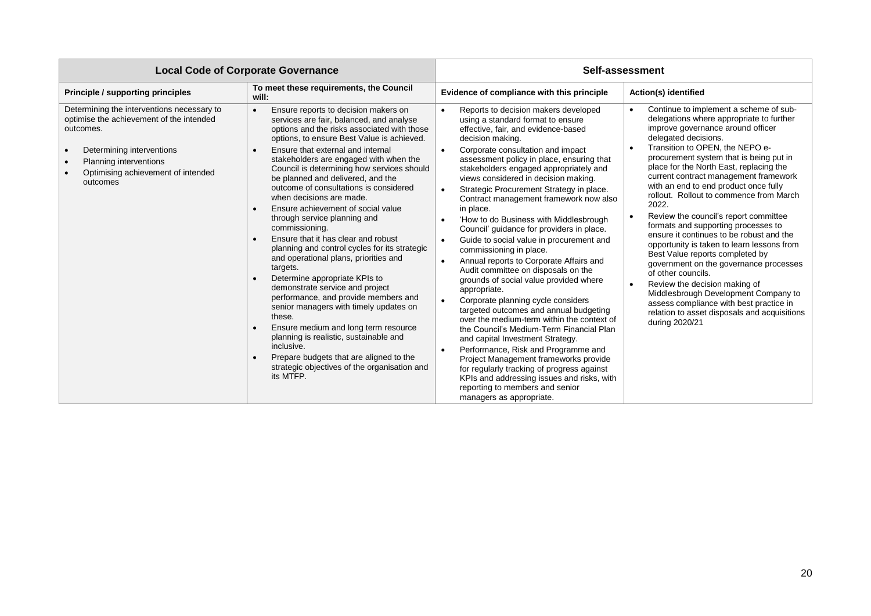| <b>Local Code of Corporate Governance</b>                                                                                                                                                                    |                                                                                                                                                                                                                                                                                                                                                                                                                                                                                                                                                                                                                                                                                                                                                                                                                                                                                                                                                                                                                                    | Self-assessment                                                                                                                                                                                                                                                                                                                                                                                                                                                                                                                                                                                                                                                                                                                                                                                                                                                                                                                                                                                                                                                                                                                                                                                                                                                                        |                                                                                                                                                                                                                                                                                                                                                                                                                                                                                                                                                                                                                                                                                                                                                                                                                                                                                                |  |
|--------------------------------------------------------------------------------------------------------------------------------------------------------------------------------------------------------------|------------------------------------------------------------------------------------------------------------------------------------------------------------------------------------------------------------------------------------------------------------------------------------------------------------------------------------------------------------------------------------------------------------------------------------------------------------------------------------------------------------------------------------------------------------------------------------------------------------------------------------------------------------------------------------------------------------------------------------------------------------------------------------------------------------------------------------------------------------------------------------------------------------------------------------------------------------------------------------------------------------------------------------|----------------------------------------------------------------------------------------------------------------------------------------------------------------------------------------------------------------------------------------------------------------------------------------------------------------------------------------------------------------------------------------------------------------------------------------------------------------------------------------------------------------------------------------------------------------------------------------------------------------------------------------------------------------------------------------------------------------------------------------------------------------------------------------------------------------------------------------------------------------------------------------------------------------------------------------------------------------------------------------------------------------------------------------------------------------------------------------------------------------------------------------------------------------------------------------------------------------------------------------------------------------------------------------|------------------------------------------------------------------------------------------------------------------------------------------------------------------------------------------------------------------------------------------------------------------------------------------------------------------------------------------------------------------------------------------------------------------------------------------------------------------------------------------------------------------------------------------------------------------------------------------------------------------------------------------------------------------------------------------------------------------------------------------------------------------------------------------------------------------------------------------------------------------------------------------------|--|
| <b>Principle / supporting principles</b>                                                                                                                                                                     | To meet these requirements, the Council<br>will:                                                                                                                                                                                                                                                                                                                                                                                                                                                                                                                                                                                                                                                                                                                                                                                                                                                                                                                                                                                   | Evidence of compliance with this principle                                                                                                                                                                                                                                                                                                                                                                                                                                                                                                                                                                                                                                                                                                                                                                                                                                                                                                                                                                                                                                                                                                                                                                                                                                             | Action(s) identified                                                                                                                                                                                                                                                                                                                                                                                                                                                                                                                                                                                                                                                                                                                                                                                                                                                                           |  |
| Determining the interventions necessary to<br>optimise the achievement of the intended<br>outcomes.<br>Determining interventions<br>Planning interventions<br>Optimising achievement of intended<br>outcomes | Ensure reports to decision makers on<br>services are fair, balanced, and analyse<br>options and the risks associated with those<br>options, to ensure Best Value is achieved.<br>Ensure that external and internal<br>stakeholders are engaged with when the<br>Council is determining how services should<br>be planned and delivered, and the<br>outcome of consultations is considered<br>when decisions are made.<br>Ensure achievement of social value<br>through service planning and<br>commissioning.<br>Ensure that it has clear and robust<br>planning and control cycles for its strategic<br>and operational plans, priorities and<br>targets.<br>Determine appropriate KPIs to<br>demonstrate service and project<br>performance, and provide members and<br>senior managers with timely updates on<br>these.<br>Ensure medium and long term resource<br>planning is realistic, sustainable and<br>inclusive.<br>Prepare budgets that are aligned to the<br>strategic objectives of the organisation and<br>its MTFP. | Reports to decision makers developed<br>$\bullet$<br>using a standard format to ensure<br>effective, fair, and evidence-based<br>decision making.<br>Corporate consultation and impact<br>$\bullet$<br>assessment policy in place, ensuring that<br>stakeholders engaged appropriately and<br>views considered in decision making.<br>Strategic Procurement Strategy in place.<br>$\bullet$<br>Contract management framework now also<br>in place.<br>'How to do Business with Middlesbrough<br>$\bullet$<br>Council' guidance for providers in place.<br>Guide to social value in procurement and<br>$\bullet$<br>commissioning in place.<br>Annual reports to Corporate Affairs and<br>$\bullet$<br>Audit committee on disposals on the<br>grounds of social value provided where<br>appropriate.<br>Corporate planning cycle considers<br>$\bullet$<br>targeted outcomes and annual budgeting<br>over the medium-term within the context of<br>the Council's Medium-Term Financial Plan<br>and capital Investment Strategy.<br>Performance, Risk and Programme and<br>$\bullet$<br>Project Management frameworks provide<br>for regularly tracking of progress against<br>KPIs and addressing issues and risks, with<br>reporting to members and senior<br>managers as appropriate. | Continue to implement a scheme of sub-<br>delegations where appropriate to further<br>improve governance around officer<br>delegated decisions.<br>Transition to OPEN, the NEPO e-<br>$\bullet$<br>procurement system that is being put in<br>place for the North East, replacing the<br>current contract management framework<br>with an end to end product once fully<br>rollout. Rollout to commence from March<br>2022.<br>Review the council's report committee<br>formats and supporting processes to<br>ensure it continues to be robust and the<br>opportunity is taken to learn lessons from<br>Best Value reports completed by<br>government on the governance processes<br>of other councils.<br>Review the decision making of<br>Middlesbrough Development Company to<br>assess compliance with best practice in<br>relation to asset disposals and acquisitions<br>during 2020/21 |  |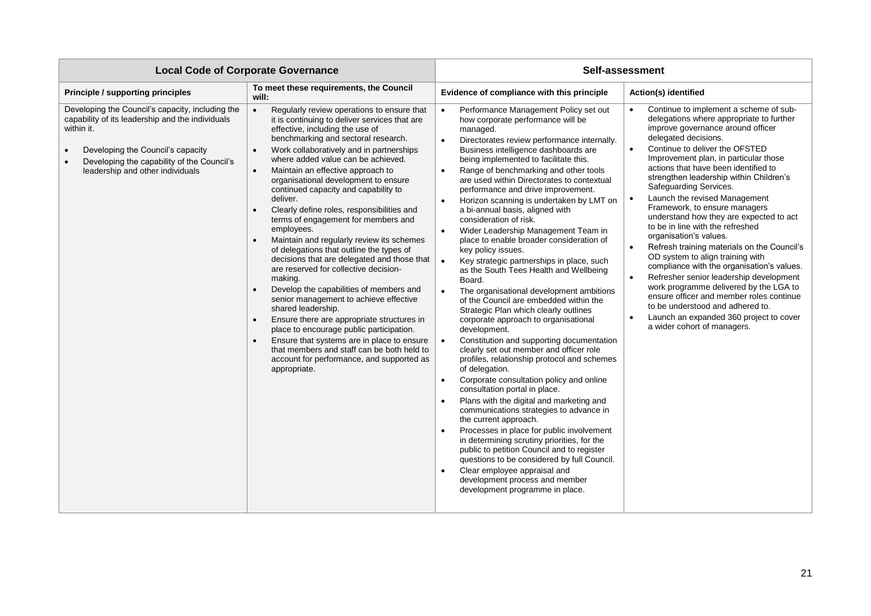| <b>Local Code of Corporate Governance</b>                                                                                                                                                                                                 |                                                                                                                                                                                                                                                                                                                                                                                                                                                                                                                                                                                                                                                                                                                                                                                                                                                                                                                                                                                                                                                                                                                                     | Self-assessment                                                                                                                                                                                                                                                                                                                                                                                                                                                                                                                                                                                                                                                                                                                                                                                                                                                                                                                                                                                                                                                                                                                                                                                                                                                                                                                                                                                                                                                                                                                                                                                                                                                               |                                                                                                                                                                                                                                                                                                                                                                                                                                                                                                                                                                                                                                                                                                                                                                                                                                                                                                                                                        |  |  |
|-------------------------------------------------------------------------------------------------------------------------------------------------------------------------------------------------------------------------------------------|-------------------------------------------------------------------------------------------------------------------------------------------------------------------------------------------------------------------------------------------------------------------------------------------------------------------------------------------------------------------------------------------------------------------------------------------------------------------------------------------------------------------------------------------------------------------------------------------------------------------------------------------------------------------------------------------------------------------------------------------------------------------------------------------------------------------------------------------------------------------------------------------------------------------------------------------------------------------------------------------------------------------------------------------------------------------------------------------------------------------------------------|-------------------------------------------------------------------------------------------------------------------------------------------------------------------------------------------------------------------------------------------------------------------------------------------------------------------------------------------------------------------------------------------------------------------------------------------------------------------------------------------------------------------------------------------------------------------------------------------------------------------------------------------------------------------------------------------------------------------------------------------------------------------------------------------------------------------------------------------------------------------------------------------------------------------------------------------------------------------------------------------------------------------------------------------------------------------------------------------------------------------------------------------------------------------------------------------------------------------------------------------------------------------------------------------------------------------------------------------------------------------------------------------------------------------------------------------------------------------------------------------------------------------------------------------------------------------------------------------------------------------------------------------------------------------------------|--------------------------------------------------------------------------------------------------------------------------------------------------------------------------------------------------------------------------------------------------------------------------------------------------------------------------------------------------------------------------------------------------------------------------------------------------------------------------------------------------------------------------------------------------------------------------------------------------------------------------------------------------------------------------------------------------------------------------------------------------------------------------------------------------------------------------------------------------------------------------------------------------------------------------------------------------------|--|--|
| <b>Principle / supporting principles</b>                                                                                                                                                                                                  | To meet these requirements, the Council<br>will:                                                                                                                                                                                                                                                                                                                                                                                                                                                                                                                                                                                                                                                                                                                                                                                                                                                                                                                                                                                                                                                                                    | Evidence of compliance with this principle                                                                                                                                                                                                                                                                                                                                                                                                                                                                                                                                                                                                                                                                                                                                                                                                                                                                                                                                                                                                                                                                                                                                                                                                                                                                                                                                                                                                                                                                                                                                                                                                                                    | Action(s) identified                                                                                                                                                                                                                                                                                                                                                                                                                                                                                                                                                                                                                                                                                                                                                                                                                                                                                                                                   |  |  |
| Developing the Council's capacity, including the<br>capability of its leadership and the individuals<br>within it.<br>Developing the Council's capacity<br>Developing the capability of the Council's<br>leadership and other individuals | Regularly review operations to ensure that<br>it is continuing to deliver services that are<br>effective, including the use of<br>benchmarking and sectoral research.<br>Work collaboratively and in partnerships<br>$\bullet$<br>where added value can be achieved.<br>Maintain an effective approach to<br>$\bullet$<br>organisational development to ensure<br>continued capacity and capability to<br>deliver.<br>Clearly define roles, responsibilities and<br>$\bullet$<br>terms of engagement for members and<br>employees.<br>Maintain and regularly review its schemes<br>of delegations that outline the types of<br>decisions that are delegated and those that<br>are reserved for collective decision-<br>making.<br>Develop the capabilities of members and<br>$\bullet$<br>senior management to achieve effective<br>shared leadership.<br>Ensure there are appropriate structures in<br>$\bullet$<br>place to encourage public participation.<br>Ensure that systems are in place to ensure<br>$\bullet$<br>that members and staff can be both held to<br>account for performance, and supported as<br>appropriate. | Performance Management Policy set out<br>$\bullet$<br>how corporate performance will be<br>managed.<br>$\bullet$<br>Directorates review performance internally.<br>Business intelligence dashboards are<br>being implemented to facilitate this.<br>Range of benchmarking and other tools<br>$\bullet$<br>are used within Directorates to contextual<br>performance and drive improvement.<br>Horizon scanning is undertaken by LMT on<br>$\bullet$<br>a bi-annual basis, aligned with<br>consideration of risk.<br>Wider Leadership Management Team in<br>$\bullet$<br>place to enable broader consideration of<br>key policy issues.<br>$\bullet$<br>Key strategic partnerships in place, such<br>as the South Tees Health and Wellbeing<br>Board.<br>The organisational development ambitions<br>$\bullet$<br>of the Council are embedded within the<br>Strategic Plan which clearly outlines<br>corporate approach to organisational<br>development.<br>Constitution and supporting documentation<br>$\bullet$<br>clearly set out member and officer role<br>profiles, relationship protocol and schemes<br>of delegation.<br>Corporate consultation policy and online<br>$\bullet$<br>consultation portal in place.<br>Plans with the digital and marketing and<br>$\bullet$<br>communications strategies to advance in<br>the current approach.<br>Processes in place for public involvement<br>$\bullet$<br>in determining scrutiny priorities, for the<br>public to petition Council and to register<br>questions to be considered by full Council.<br>Clear employee appraisal and<br>$\bullet$<br>development process and member<br>development programme in place. | Continue to implement a scheme of sub-<br>delegations where appropriate to further<br>improve governance around officer<br>delegated decisions.<br>Continue to deliver the OFSTED<br>$\bullet$<br>Improvement plan, in particular those<br>actions that have been identified to<br>strengthen leadership within Children's<br>Safeguarding Services.<br>Launch the revised Management<br>Framework, to ensure managers<br>understand how they are expected to act<br>to be in line with the refreshed<br>organisation's values.<br>Refresh training materials on the Council's<br>$\bullet$<br>OD system to align training with<br>compliance with the organisation's values.<br>Refresher senior leadership development<br>$\bullet$<br>work programme delivered by the LGA to<br>ensure officer and member roles continue<br>to be understood and adhered to.<br>Launch an expanded 360 project to cover<br>$\bullet$<br>a wider cohort of managers. |  |  |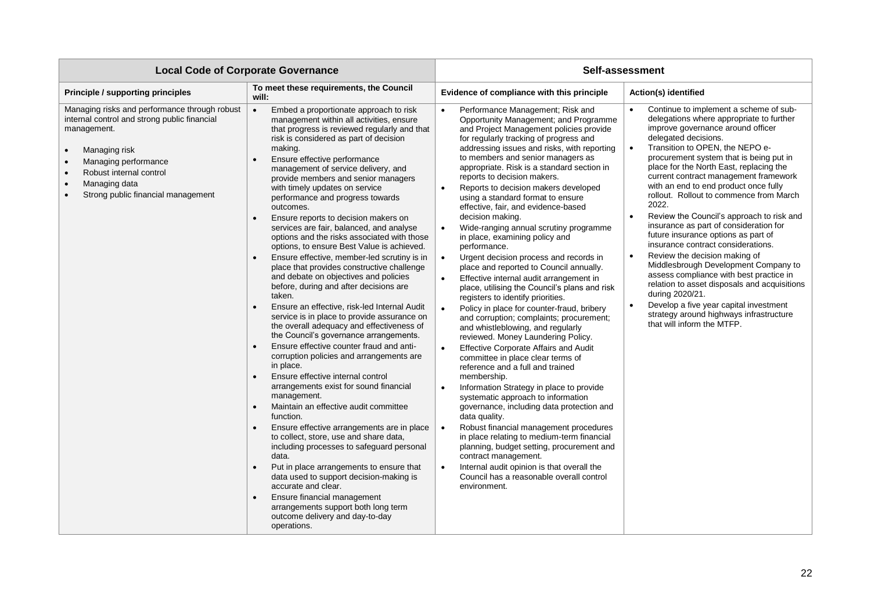| <b>Local Code of Corporate Governance</b>                                                                                                                                                                                                                         |                                                                                                                                                                                                                                                                                                                                                                                                                                                                                                                                                                                                                                                                                                                                                                                                                                                                                                                                                                                                                                                                                                                                                                                                                                                                                                                                                                                                                                                                                                                                                                                                                                                            | Self-assessment                                                                                                                                                                                                                                                                                                                                                                                                                                                                                                                                                                                                                                                                                                                                                                                                                                                                                                                                                                                                                                                                                                                                                                                                                                                                                                                                                                                                                                                                                                                                                                                                                                                 |                                                                                                                                                                                                                                                                                                                                                                                                                                                                                                                                                                                                                                                                                                                                                                                                                                                                                                                                     |  |
|-------------------------------------------------------------------------------------------------------------------------------------------------------------------------------------------------------------------------------------------------------------------|------------------------------------------------------------------------------------------------------------------------------------------------------------------------------------------------------------------------------------------------------------------------------------------------------------------------------------------------------------------------------------------------------------------------------------------------------------------------------------------------------------------------------------------------------------------------------------------------------------------------------------------------------------------------------------------------------------------------------------------------------------------------------------------------------------------------------------------------------------------------------------------------------------------------------------------------------------------------------------------------------------------------------------------------------------------------------------------------------------------------------------------------------------------------------------------------------------------------------------------------------------------------------------------------------------------------------------------------------------------------------------------------------------------------------------------------------------------------------------------------------------------------------------------------------------------------------------------------------------------------------------------------------------|-----------------------------------------------------------------------------------------------------------------------------------------------------------------------------------------------------------------------------------------------------------------------------------------------------------------------------------------------------------------------------------------------------------------------------------------------------------------------------------------------------------------------------------------------------------------------------------------------------------------------------------------------------------------------------------------------------------------------------------------------------------------------------------------------------------------------------------------------------------------------------------------------------------------------------------------------------------------------------------------------------------------------------------------------------------------------------------------------------------------------------------------------------------------------------------------------------------------------------------------------------------------------------------------------------------------------------------------------------------------------------------------------------------------------------------------------------------------------------------------------------------------------------------------------------------------------------------------------------------------------------------------------------------------|-------------------------------------------------------------------------------------------------------------------------------------------------------------------------------------------------------------------------------------------------------------------------------------------------------------------------------------------------------------------------------------------------------------------------------------------------------------------------------------------------------------------------------------------------------------------------------------------------------------------------------------------------------------------------------------------------------------------------------------------------------------------------------------------------------------------------------------------------------------------------------------------------------------------------------------|--|
| <b>Principle / supporting principles</b>                                                                                                                                                                                                                          | To meet these requirements, the Council<br>will:                                                                                                                                                                                                                                                                                                                                                                                                                                                                                                                                                                                                                                                                                                                                                                                                                                                                                                                                                                                                                                                                                                                                                                                                                                                                                                                                                                                                                                                                                                                                                                                                           | Evidence of compliance with this principle<br>Action(s) identified                                                                                                                                                                                                                                                                                                                                                                                                                                                                                                                                                                                                                                                                                                                                                                                                                                                                                                                                                                                                                                                                                                                                                                                                                                                                                                                                                                                                                                                                                                                                                                                              |                                                                                                                                                                                                                                                                                                                                                                                                                                                                                                                                                                                                                                                                                                                                                                                                                                                                                                                                     |  |
| Managing risks and performance through robust<br>internal control and strong public financial<br>management.<br>Managing risk<br>Managing performance<br>Robust internal control<br>Managing data<br>$\bullet$<br>Strong public financial management<br>$\bullet$ | Embed a proportionate approach to risk<br>$\bullet$<br>management within all activities, ensure<br>that progress is reviewed regularly and that<br>risk is considered as part of decision<br>making.<br>Ensure effective performance<br>management of service delivery, and<br>provide members and senior managers<br>with timely updates on service<br>performance and progress towards<br>outcomes.<br>Ensure reports to decision makers on<br>$\bullet$<br>services are fair, balanced, and analyse<br>options and the risks associated with those<br>options, to ensure Best Value is achieved.<br>Ensure effective, member-led scrutiny is in<br>place that provides constructive challenge<br>and debate on objectives and policies<br>before, during and after decisions are<br>taken.<br>Ensure an effective, risk-led Internal Audit<br>service is in place to provide assurance on<br>the overall adequacy and effectiveness of<br>the Council's governance arrangements.<br>Ensure effective counter fraud and anti-<br>corruption policies and arrangements are<br>in place.<br>Ensure effective internal control<br>$\bullet$<br>arrangements exist for sound financial<br>management.<br>Maintain an effective audit committee<br>$\bullet$<br>function.<br>Ensure effective arrangements are in place<br>to collect, store, use and share data,<br>including processes to safeguard personal<br>data.<br>Put in place arrangements to ensure that<br>data used to support decision-making is<br>accurate and clear.<br>Ensure financial management<br>arrangements support both long term<br>outcome delivery and day-to-day<br>operations. | Performance Management; Risk and<br>$\bullet$<br>Opportunity Management; and Programme<br>and Project Management policies provide<br>for regularly tracking of progress and<br>addressing issues and risks, with reporting<br>to members and senior managers as<br>appropriate. Risk is a standard section in<br>reports to decision makers.<br>Reports to decision makers developed<br>$\bullet$<br>using a standard format to ensure<br>effective, fair, and evidence-based<br>decision making.<br>Wide-ranging annual scrutiny programme<br>$\bullet$<br>in place, examining policy and<br>performance.<br>Urgent decision process and records in<br>$\bullet$<br>place and reported to Council annually.<br>Effective internal audit arrangement in<br>$\bullet$<br>place, utilising the Council's plans and risk<br>registers to identify priorities.<br>$\bullet$<br>Policy in place for counter-fraud, bribery<br>and corruption; complaints; procurement;<br>and whistleblowing, and regularly<br>reviewed. Money Laundering Policy.<br>$\bullet$<br><b>Effective Corporate Affairs and Audit</b><br>committee in place clear terms of<br>reference and a full and trained<br>membership.<br>Information Strategy in place to provide<br>$\bullet$<br>systematic approach to information<br>governance, including data protection and<br>data quality.<br>$\bullet$<br>Robust financial management procedures<br>in place relating to medium-term financial<br>planning, budget setting, procurement and<br>contract management.<br>Internal audit opinion is that overall the<br>$\bullet$<br>Council has a reasonable overall control<br>environment. | Continue to implement a scheme of sub-<br>delegations where appropriate to further<br>improve governance around officer<br>delegated decisions.<br>Transition to OPEN, the NEPO e-<br>procurement system that is being put in<br>place for the North East, replacing the<br>current contract management framework<br>with an end to end product once fully<br>rollout. Rollout to commence from March<br>2022.<br>Review the Council's approach to risk and<br>$\bullet$<br>insurance as part of consideration for<br>future insurance options as part of<br>insurance contract considerations.<br>Review the decision making of<br>$\bullet$<br>Middlesbrough Development Company to<br>assess compliance with best practice in<br>relation to asset disposals and acquisitions<br>during 2020/21.<br>Develop a five year capital investment<br>$\bullet$<br>strategy around highways infrastructure<br>that will inform the MTFP. |  |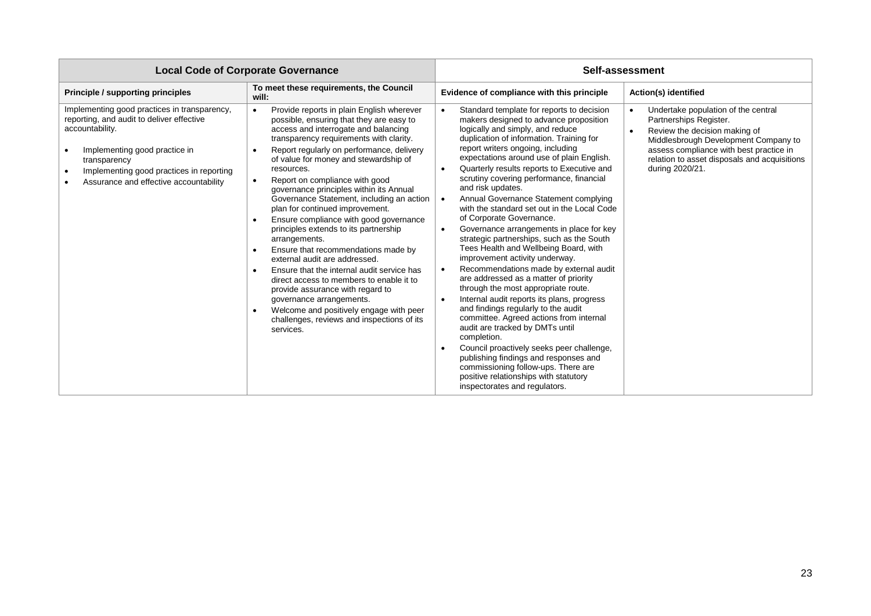| <b>Local Code of Corporate Governance</b>                                                                                                                                                                                                           |                                                                                                                                                                                                                                                                                                                                                                                                                                                                                                                                                                                                                                                                                                                                                                                                                                                                                                                                                                     | Self-assessment                                                                                                                                                                                                                                                                                                                                                                                                                                                                                                                                                                                                                                                                                                                                                                                                                                                                                                                                                                                                                                                                                                                                                                                                                                                            |                                                                                                                                                                                                                                                      |  |
|-----------------------------------------------------------------------------------------------------------------------------------------------------------------------------------------------------------------------------------------------------|---------------------------------------------------------------------------------------------------------------------------------------------------------------------------------------------------------------------------------------------------------------------------------------------------------------------------------------------------------------------------------------------------------------------------------------------------------------------------------------------------------------------------------------------------------------------------------------------------------------------------------------------------------------------------------------------------------------------------------------------------------------------------------------------------------------------------------------------------------------------------------------------------------------------------------------------------------------------|----------------------------------------------------------------------------------------------------------------------------------------------------------------------------------------------------------------------------------------------------------------------------------------------------------------------------------------------------------------------------------------------------------------------------------------------------------------------------------------------------------------------------------------------------------------------------------------------------------------------------------------------------------------------------------------------------------------------------------------------------------------------------------------------------------------------------------------------------------------------------------------------------------------------------------------------------------------------------------------------------------------------------------------------------------------------------------------------------------------------------------------------------------------------------------------------------------------------------------------------------------------------------|------------------------------------------------------------------------------------------------------------------------------------------------------------------------------------------------------------------------------------------------------|--|
| Principle / supporting principles                                                                                                                                                                                                                   | To meet these requirements, the Council<br>will:                                                                                                                                                                                                                                                                                                                                                                                                                                                                                                                                                                                                                                                                                                                                                                                                                                                                                                                    | Evidence of compliance with this principle                                                                                                                                                                                                                                                                                                                                                                                                                                                                                                                                                                                                                                                                                                                                                                                                                                                                                                                                                                                                                                                                                                                                                                                                                                 | Action(s) identified                                                                                                                                                                                                                                 |  |
| Implementing good practices in transparency,<br>reporting, and audit to deliver effective<br>accountability.<br>Implementing good practice in<br>transparency<br>Implementing good practices in reporting<br>Assurance and effective accountability | Provide reports in plain English wherever<br>$\bullet$<br>possible, ensuring that they are easy to<br>access and interrogate and balancing<br>transparency requirements with clarity.<br>Report regularly on performance, delivery<br>$\bullet$<br>of value for money and stewardship of<br>resources.<br>Report on compliance with good<br>$\bullet$<br>governance principles within its Annual<br>Governance Statement, including an action<br>plan for continued improvement.<br>Ensure compliance with good governance<br>principles extends to its partnership<br>arrangements.<br>Ensure that recommendations made by<br>$\bullet$<br>external audit are addressed.<br>Ensure that the internal audit service has<br>$\bullet$<br>direct access to members to enable it to<br>provide assurance with regard to<br>governance arrangements.<br>Welcome and positively engage with peer<br>$\bullet$<br>challenges, reviews and inspections of its<br>services. | Standard template for reports to decision<br>$\bullet$<br>makers designed to advance proposition<br>logically and simply, and reduce<br>duplication of information. Training for<br>report writers ongoing, including<br>expectations around use of plain English.<br>Quarterly results reports to Executive and<br>$\bullet$<br>scrutiny covering performance, financial<br>and risk updates.<br>Annual Governance Statement complying<br>$\bullet$<br>with the standard set out in the Local Code<br>of Corporate Governance.<br>Governance arrangements in place for key<br>$\bullet$<br>strategic partnerships, such as the South<br>Tees Health and Wellbeing Board, with<br>improvement activity underway.<br>Recommendations made by external audit<br>$\bullet$<br>are addressed as a matter of priority<br>through the most appropriate route.<br>Internal audit reports its plans, progress<br>$\bullet$<br>and findings regularly to the audit<br>committee. Agreed actions from internal<br>audit are tracked by DMTs until<br>completion.<br>Council proactively seeks peer challenge,<br>$\bullet$<br>publishing findings and responses and<br>commissioning follow-ups. There are<br>positive relationships with statutory<br>inspectorates and regulators. | Undertake population of the central<br>Partnerships Register.<br>Review the decision making of<br>Middlesbrough Development Company to<br>assess compliance with best practice in<br>relation to asset disposals and acquisitions<br>during 2020/21. |  |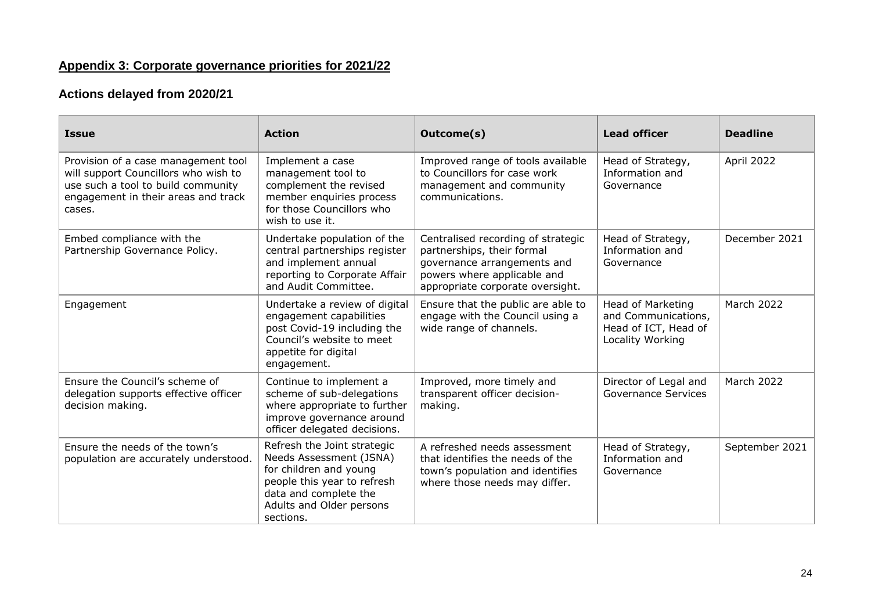# **Appendix 3: Corporate governance priorities for 2021/22**

## **Actions delayed from 2020/21**

| <b>Issue</b>                                                                                                                                                       | <b>Action</b>                                                                                                                                                                     | Outcome(s)                                                                                                                                                         | <b>Lead officer</b>                                                                  | <b>Deadline</b>   |
|--------------------------------------------------------------------------------------------------------------------------------------------------------------------|-----------------------------------------------------------------------------------------------------------------------------------------------------------------------------------|--------------------------------------------------------------------------------------------------------------------------------------------------------------------|--------------------------------------------------------------------------------------|-------------------|
| Provision of a case management tool<br>will support Councillors who wish to<br>use such a tool to build community<br>engagement in their areas and track<br>cases. | Implement a case<br>management tool to<br>complement the revised<br>member enquiries process<br>for those Councillors who<br>wish to use it.                                      | Improved range of tools available<br>to Councillors for case work<br>management and community<br>communications.                                                   | Head of Strategy,<br>Information and<br>Governance                                   | April 2022        |
| Embed compliance with the<br>Partnership Governance Policy.                                                                                                        | Undertake population of the<br>central partnerships register<br>and implement annual<br>reporting to Corporate Affair<br>and Audit Committee.                                     | Centralised recording of strategic<br>partnerships, their formal<br>governance arrangements and<br>powers where applicable and<br>appropriate corporate oversight. | Head of Strategy,<br>Information and<br>Governance                                   | December 2021     |
| Engagement                                                                                                                                                         | Undertake a review of digital<br>engagement capabilities<br>post Covid-19 including the<br>Council's website to meet<br>appetite for digital<br>engagement.                       | Ensure that the public are able to<br>engage with the Council using a<br>wide range of channels.                                                                   | Head of Marketing<br>and Communications,<br>Head of ICT, Head of<br>Locality Working | <b>March 2022</b> |
| Ensure the Council's scheme of<br>delegation supports effective officer<br>decision making.                                                                        | Continue to implement a<br>scheme of sub-delegations<br>where appropriate to further<br>improve governance around<br>officer delegated decisions.                                 | Improved, more timely and<br>transparent officer decision-<br>making.                                                                                              | Director of Legal and<br><b>Governance Services</b>                                  | March 2022        |
| Ensure the needs of the town's<br>population are accurately understood.                                                                                            | Refresh the Joint strategic<br>Needs Assessment (JSNA)<br>for children and young<br>people this year to refresh<br>data and complete the<br>Adults and Older persons<br>sections. | A refreshed needs assessment<br>that identifies the needs of the<br>town's population and identifies<br>where those needs may differ.                              | Head of Strategy,<br>Information and<br>Governance                                   | September 2021    |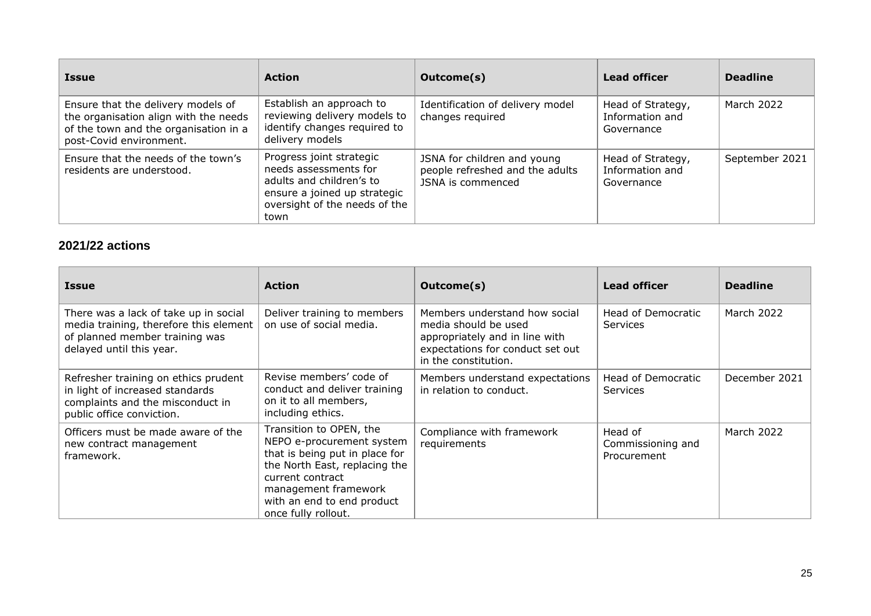| <b>Issue</b>                                                                                                                                    | <b>Action</b>                                                                                                                                          | Outcome(s)                                                                          | <b>Lead officer</b>                                | <b>Deadline</b> |
|-------------------------------------------------------------------------------------------------------------------------------------------------|--------------------------------------------------------------------------------------------------------------------------------------------------------|-------------------------------------------------------------------------------------|----------------------------------------------------|-----------------|
| Ensure that the delivery models of<br>the organisation align with the needs<br>of the town and the organisation in a<br>post-Covid environment. | Establish an approach to<br>reviewing delivery models to<br>identify changes required to<br>delivery models                                            | Identification of delivery model<br>changes required                                | Head of Strategy,<br>Information and<br>Governance | March 2022      |
| Ensure that the needs of the town's<br>residents are understood.                                                                                | Progress joint strategic<br>needs assessments for<br>adults and children's to<br>ensure a joined up strategic<br>oversight of the needs of the<br>town | JSNA for children and young<br>people refreshed and the adults<br>JSNA is commenced | Head of Strategy,<br>Information and<br>Governance | September 2021  |

## **2021/22 actions**

| <b>Issue</b>                                                                                                                                  | <b>Action</b>                                                                                                                                                                                                            | Outcome(s)                                                                                                                                          | <b>Lead officer</b>                         | <b>Deadline</b> |
|-----------------------------------------------------------------------------------------------------------------------------------------------|--------------------------------------------------------------------------------------------------------------------------------------------------------------------------------------------------------------------------|-----------------------------------------------------------------------------------------------------------------------------------------------------|---------------------------------------------|-----------------|
| There was a lack of take up in social<br>media training, therefore this element<br>of planned member training was<br>delayed until this year. | Deliver training to members<br>on use of social media.                                                                                                                                                                   | Members understand how social<br>media should be used<br>appropriately and in line with<br>expectations for conduct set out<br>in the constitution. | Head of Democratic<br><b>Services</b>       | March 2022      |
| Refresher training on ethics prudent<br>in light of increased standards<br>complaints and the misconduct in<br>public office conviction.      | Revise members' code of<br>conduct and deliver training<br>on it to all members,<br>including ethics.                                                                                                                    | Members understand expectations<br>in relation to conduct.                                                                                          | Head of Democratic<br><b>Services</b>       | December 2021   |
| Officers must be made aware of the<br>new contract management<br>framework.                                                                   | Transition to OPEN, the<br>NEPO e-procurement system<br>that is being put in place for<br>the North East, replacing the<br>current contract<br>management framework<br>with an end to end product<br>once fully rollout. | Compliance with framework<br>requirements                                                                                                           | Head of<br>Commissioning and<br>Procurement | March 2022      |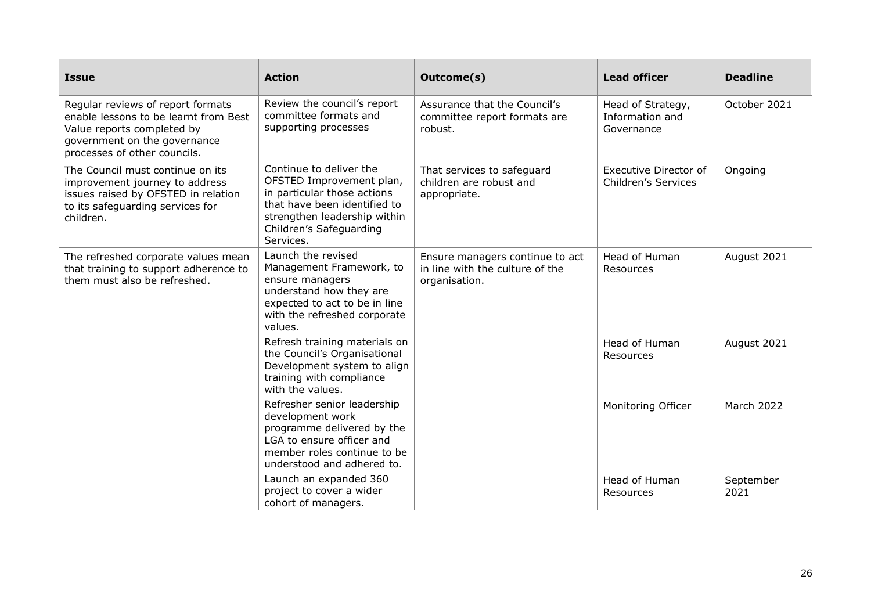| <b>Issue</b>                                                                                                                                                             | <b>Action</b>                                                                                                                                                                              | Outcome(s)                                                                          | <b>Lead officer</b>                                | <b>Deadline</b>   |
|--------------------------------------------------------------------------------------------------------------------------------------------------------------------------|--------------------------------------------------------------------------------------------------------------------------------------------------------------------------------------------|-------------------------------------------------------------------------------------|----------------------------------------------------|-------------------|
| Regular reviews of report formats<br>enable lessons to be learnt from Best<br>Value reports completed by<br>government on the governance<br>processes of other councils. | Review the council's report<br>committee formats and<br>supporting processes                                                                                                               | Assurance that the Council's<br>committee report formats are<br>robust.             | Head of Strategy,<br>Information and<br>Governance | October 2021      |
| The Council must continue on its<br>improvement journey to address<br>issues raised by OFSTED in relation<br>to its safeguarding services for<br>children.               | Continue to deliver the<br>OFSTED Improvement plan,<br>in particular those actions<br>that have been identified to<br>strengthen leadership within<br>Children's Safeguarding<br>Services. | That services to safeguard<br>children are robust and<br>appropriate.               | Executive Director of<br>Children's Services       | Ongoing           |
| The refreshed corporate values mean<br>that training to support adherence to<br>them must also be refreshed.                                                             | Launch the revised<br>Management Framework, to<br>ensure managers<br>understand how they are<br>expected to act to be in line<br>with the refreshed corporate<br>values.                   | Ensure managers continue to act<br>in line with the culture of the<br>organisation. | Head of Human<br>Resources                         | August 2021       |
|                                                                                                                                                                          | Refresh training materials on<br>the Council's Organisational<br>Development system to align<br>training with compliance<br>with the values.                                               |                                                                                     | Head of Human<br>Resources                         | August 2021       |
|                                                                                                                                                                          | Refresher senior leadership<br>development work<br>programme delivered by the<br>LGA to ensure officer and<br>member roles continue to be<br>understood and adhered to.                    |                                                                                     | Monitoring Officer                                 | March 2022        |
|                                                                                                                                                                          | Launch an expanded 360<br>project to cover a wider<br>cohort of managers.                                                                                                                  |                                                                                     | Head of Human<br>Resources                         | September<br>2021 |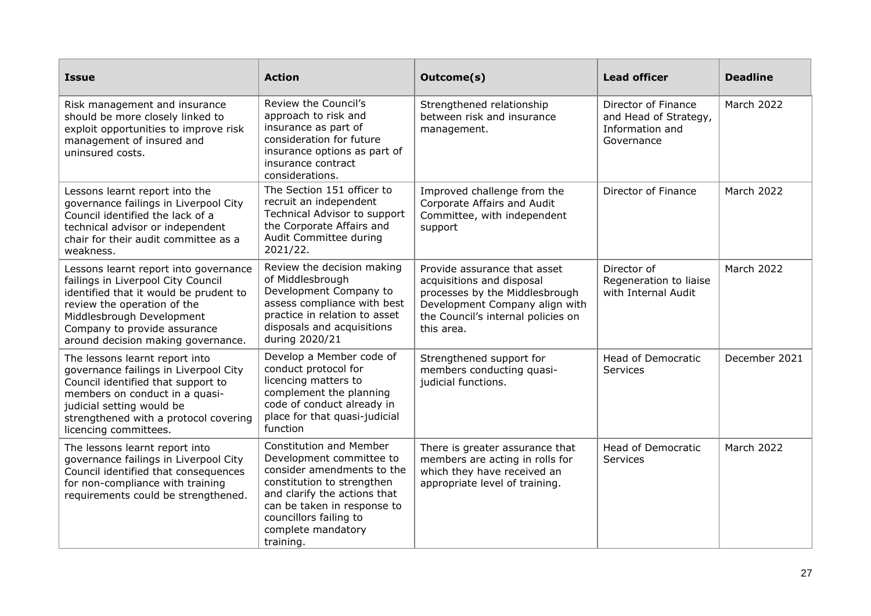| <b>Issue</b>                                                                                                                                                                                                                                            | <b>Action</b>                                                                                                                                                                                                                                      | Outcome(s)                                                                                                                                                                        | <b>Lead officer</b>                                                           | <b>Deadline</b>   |
|---------------------------------------------------------------------------------------------------------------------------------------------------------------------------------------------------------------------------------------------------------|----------------------------------------------------------------------------------------------------------------------------------------------------------------------------------------------------------------------------------------------------|-----------------------------------------------------------------------------------------------------------------------------------------------------------------------------------|-------------------------------------------------------------------------------|-------------------|
| Risk management and insurance<br>should be more closely linked to<br>exploit opportunities to improve risk<br>management of insured and<br>uninsured costs.                                                                                             | Review the Council's<br>approach to risk and<br>insurance as part of<br>consideration for future<br>insurance options as part of<br>insurance contract<br>considerations.                                                                          | Strengthened relationship<br>between risk and insurance<br>management.                                                                                                            | Director of Finance<br>and Head of Strategy,<br>Information and<br>Governance | March 2022        |
| Lessons learnt report into the<br>governance failings in Liverpool City<br>Council identified the lack of a<br>technical advisor or independent<br>chair for their audit committee as a<br>weakness.                                                    | The Section 151 officer to<br>recruit an independent<br>Technical Advisor to support<br>the Corporate Affairs and<br>Audit Committee during<br>2021/22.                                                                                            | Improved challenge from the<br>Corporate Affairs and Audit<br>Committee, with independent<br>support                                                                              | Director of Finance                                                           | <b>March 2022</b> |
| Lessons learnt report into governance<br>failings in Liverpool City Council<br>identified that it would be prudent to<br>review the operation of the<br>Middlesbrough Development<br>Company to provide assurance<br>around decision making governance. | Review the decision making<br>of Middlesbrough<br>Development Company to<br>assess compliance with best<br>practice in relation to asset<br>disposals and acquisitions<br>during 2020/21                                                           | Provide assurance that asset<br>acquisitions and disposal<br>processes by the Middlesbrough<br>Development Company align with<br>the Council's internal policies on<br>this area. | Director of<br>Regeneration to liaise<br>with Internal Audit                  | March 2022        |
| The lessons learnt report into<br>governance failings in Liverpool City<br>Council identified that support to<br>members on conduct in a quasi-<br>judicial setting would be<br>strengthened with a protocol covering<br>licencing committees.          | Develop a Member code of<br>conduct protocol for<br>licencing matters to<br>complement the planning<br>code of conduct already in<br>place for that quasi-judicial<br>function                                                                     | Strengthened support for<br>members conducting quasi-<br>judicial functions.                                                                                                      | <b>Head of Democratic</b><br>Services                                         | December 2021     |
| The lessons learnt report into<br>governance failings in Liverpool City<br>Council identified that consequences<br>for non-compliance with training<br>requirements could be strengthened.                                                              | <b>Constitution and Member</b><br>Development committee to<br>consider amendments to the<br>constitution to strengthen<br>and clarify the actions that<br>can be taken in response to<br>councillors failing to<br>complete mandatory<br>training. | There is greater assurance that<br>members are acting in rolls for<br>which they have received an<br>appropriate level of training.                                               | <b>Head of Democratic</b><br><b>Services</b>                                  | <b>March 2022</b> |